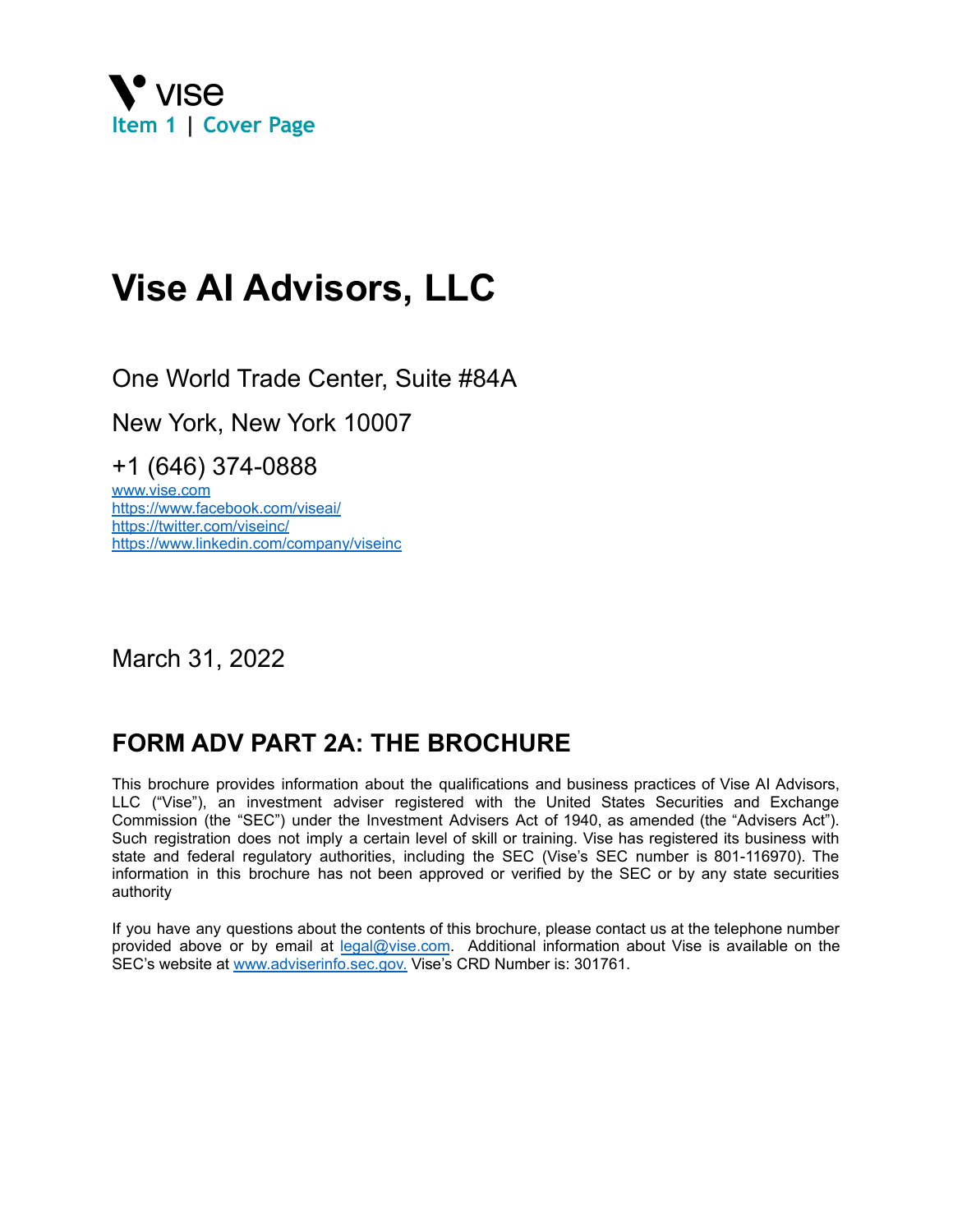<span id="page-0-0"></span>

# **Vise AI Advisors, LLC**

One World Trade Center, Suite #84A

New York, New York 10007

+1 (646) 374-0888

www.vise.com https://www.facebook.com/viseai/ https://twitter.com/viseinc/ https://www.linkedin.com/company/viseinc

March 31, 2022

## **FORM ADV PART 2A: THE BROCHURE**

This brochure provides information about the qualifications and business practices of Vise AI Advisors, LLC ("Vise"), an investment adviser registered with the United States Securities and Exchange Commission (the "SEC") under the Investment Advisers Act of 1940, as amended (the "Advisers Act"). Such registration does not imply a certain level of skill or training. Vise has registered its business with state and federal regulatory authorities, including the SEC (Vise's SEC number is 801-116970). The information in this brochure has not been approved or verified by the SEC or by any state securities authority

If you have any questions about the contents of this brochure, please contact us at the telephone number provided above or by email at [legal@vise.com](mailto:legal@vise.com). Additional information about Vise is available on the SEC's website at [www.adviserinfo.sec.gov.](http://www.adviserinfo.sec.gov.) Vise's CRD Number is: 301761.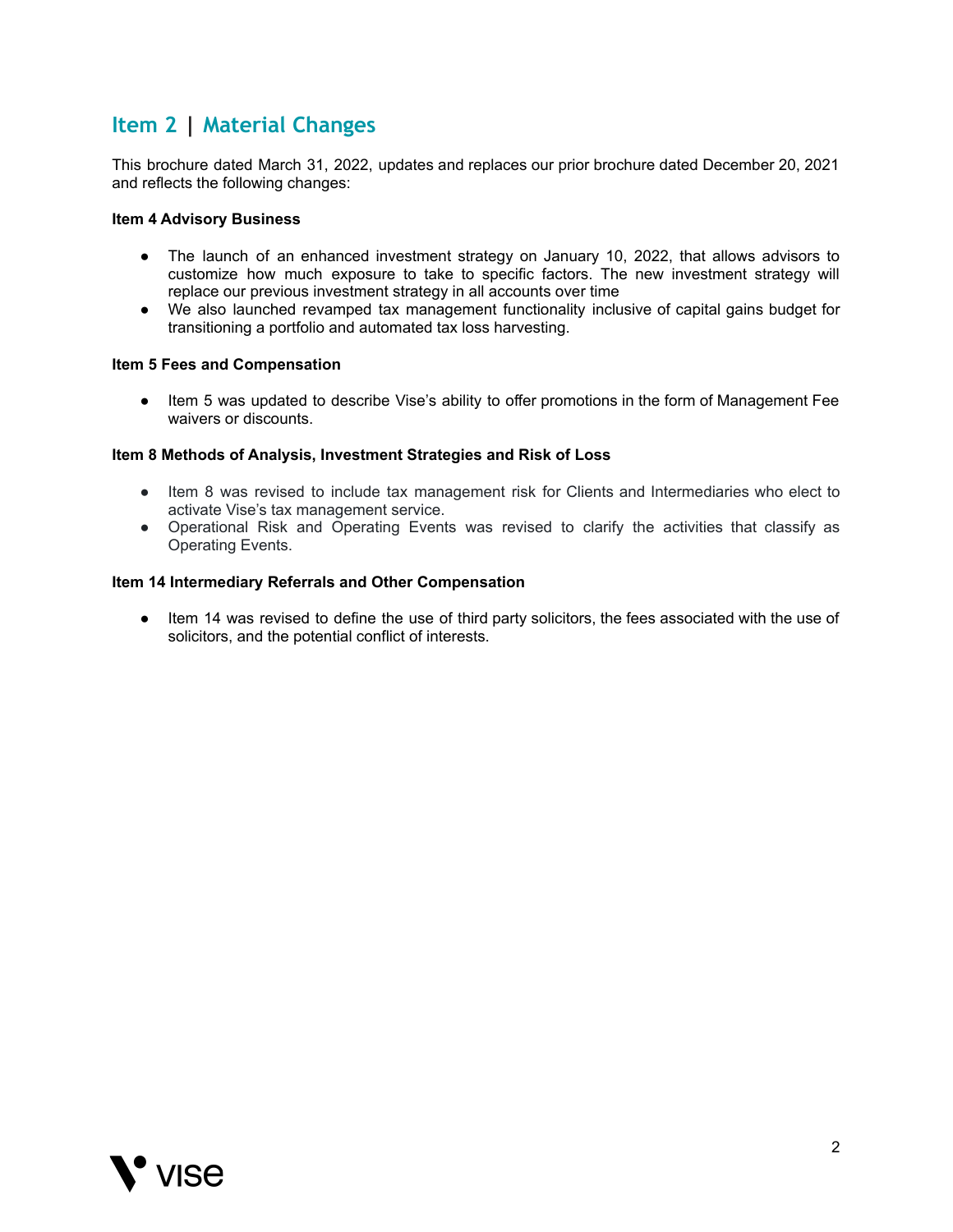## <span id="page-1-0"></span>**Item 2 | Material Changes**

This brochure dated March 31, 2022, updates and replaces our prior brochure dated December 20, 2021 and reflects the following changes:

#### **Item 4 Advisory Business**

- The launch of an enhanced investment strategy on January 10, 2022, that allows advisors to customize how much exposure to take to specific factors. The new investment strategy will replace our previous investment strategy in all accounts over time
- We also launched revamped tax management functionality inclusive of capital gains budget for transitioning a portfolio and automated tax loss harvesting.

#### **Item 5 Fees and Compensation**

● Item 5 was updated to describe Vise's ability to offer promotions in the form of Management Fee waivers or discounts.

#### **Item 8 Methods of Analysis, Investment Strategies and Risk of Loss**

- Item 8 was revised to include tax management risk for Clients and Intermediaries who elect to activate Vise's tax management service.
- Operational Risk and Operating Events was revised to clarify the activities that classify as Operating Events.

#### **Item 14 Intermediary Referrals and Other Compensation**

● Item 14 was revised to define the use of third party solicitors, the fees associated with the use of solicitors, and the potential conflict of interests.

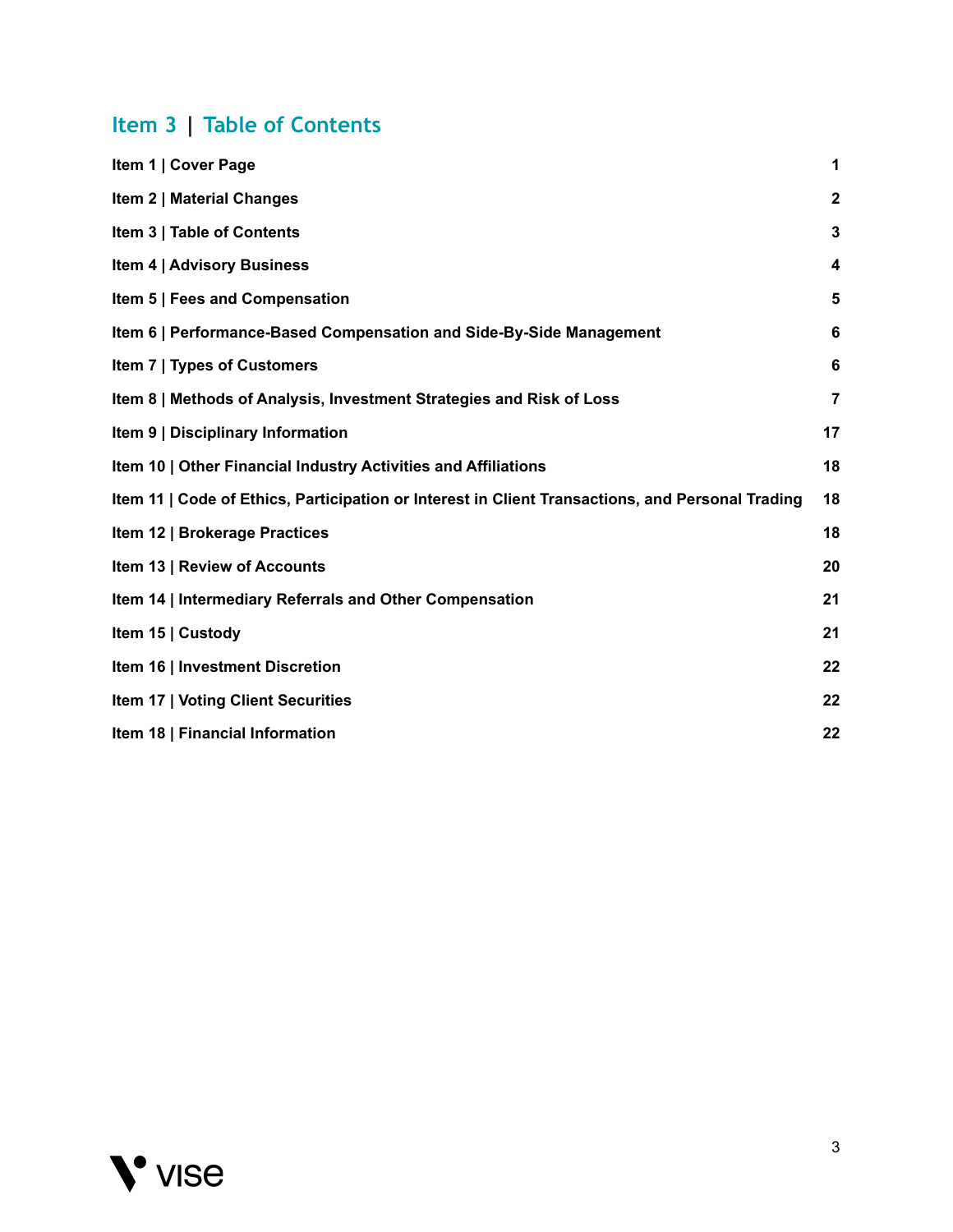## <span id="page-2-0"></span>**Item 3 | Table of Contents**

| Item 1   Cover Page                                                                              | 1                       |
|--------------------------------------------------------------------------------------------------|-------------------------|
| <b>Item 2   Material Changes</b>                                                                 | $\mathbf{2}$            |
| Item 3   Table of Contents                                                                       | $\mathbf{3}$            |
| <b>Item 4   Advisory Business</b>                                                                | $\overline{\mathbf{4}}$ |
| Item 5   Fees and Compensation                                                                   | 5                       |
| Item 6   Performance-Based Compensation and Side-By-Side Management                              | 6                       |
| Item 7   Types of Customers                                                                      | 6                       |
| Item 8   Methods of Analysis, Investment Strategies and Risk of Loss                             | $\overline{7}$          |
| Item 9   Disciplinary Information                                                                | 17                      |
| Item 10   Other Financial Industry Activities and Affiliations                                   | 18                      |
| Item 11   Code of Ethics, Participation or Interest in Client Transactions, and Personal Trading | 18                      |
| Item 12   Brokerage Practices                                                                    | 18                      |
| Item 13   Review of Accounts                                                                     | 20                      |
| Item 14   Intermediary Referrals and Other Compensation                                          | 21                      |
| Item 15   Custody                                                                                | 21                      |
| Item 16   Investment Discretion                                                                  | 22                      |
| <b>Item 17   Voting Client Securities</b>                                                        | 22                      |
| Item 18   Financial Information                                                                  | 22                      |

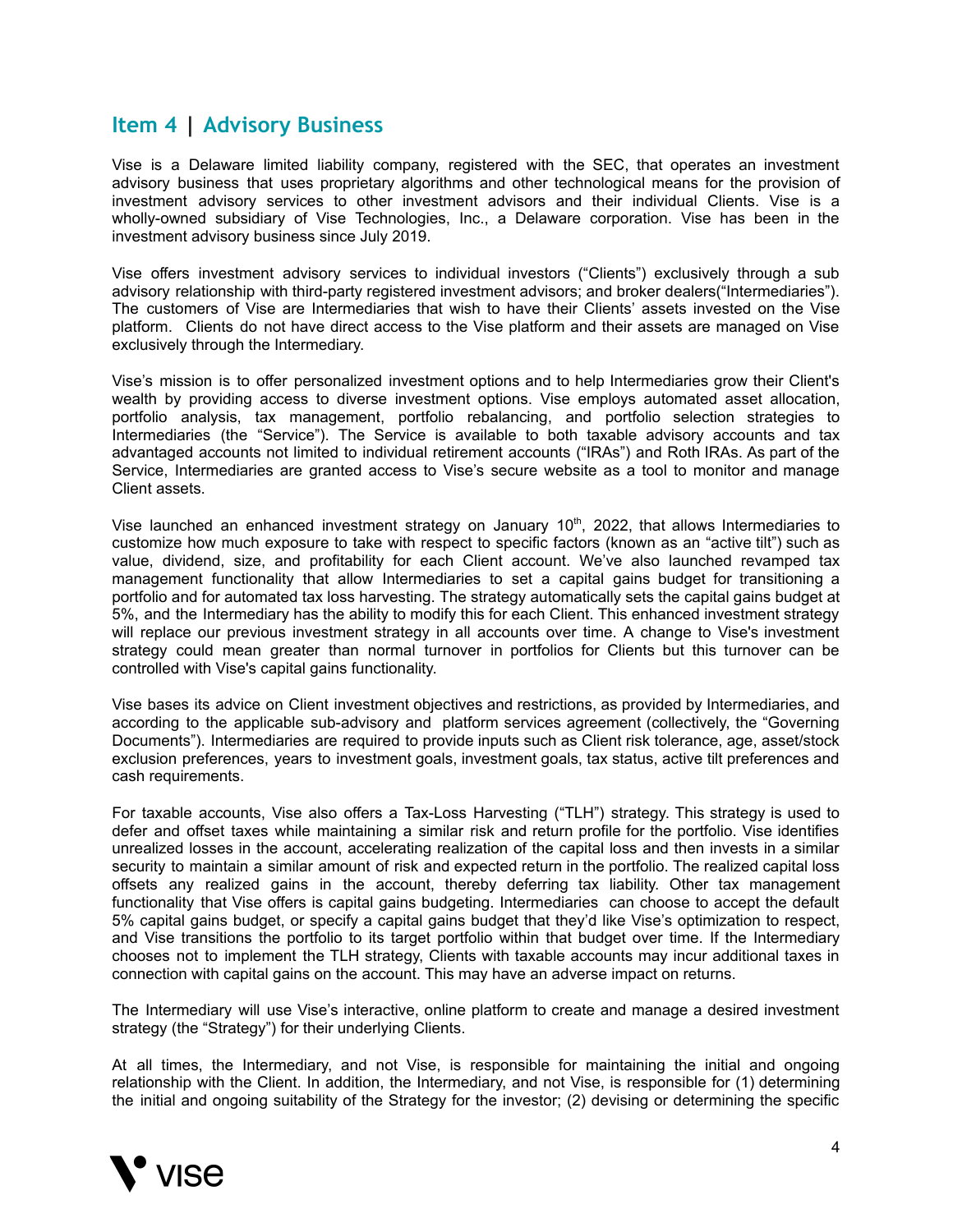## <span id="page-3-0"></span>**Item 4 | Advisory Business**

Vise is a Delaware limited liability company, registered with the SEC, that operates an investment advisory business that uses proprietary algorithms and other technological means for the provision of investment advisory services to other investment advisors and their individual Clients. Vise is a wholly-owned subsidiary of Vise Technologies, Inc., a Delaware corporation. Vise has been in the investment advisory business since July 2019.

Vise offers investment advisory services to individual investors ("Clients") exclusively through a sub advisory relationship with third-party registered investment advisors; and broker dealers("Intermediaries"). The customers of Vise are Intermediaries that wish to have their Clients' assets invested on the Vise platform. Clients do not have direct access to the Vise platform and their assets are managed on Vise exclusively through the Intermediary.

Vise's mission is to offer personalized investment options and to help Intermediaries grow their Client's wealth by providing access to diverse investment options. Vise employs automated asset allocation, portfolio analysis, tax management, portfolio rebalancing, and portfolio selection strategies to Intermediaries (the "Service"). The Service is available to both taxable advisory accounts and tax advantaged accounts not limited to individual retirement accounts ("IRAs") and Roth IRAs. As part of the Service, Intermediaries are granted access to Vise's secure website as a tool to monitor and manage Client assets.

Vise launched an enhanced investment strategy on January 10<sup>th</sup>, 2022, that allows Intermediaries to customize how much exposure to take with respect to specific factors (known as an "active tilt") such as value, dividend, size, and profitability for each Client account. We've also launched revamped tax management functionality that allow Intermediaries to set a capital gains budget for transitioning a portfolio and for automated tax loss harvesting. The strategy automatically sets the capital gains budget at 5%, and the Intermediary has the ability to modify this for each Client. This enhanced investment strategy will replace our previous investment strategy in all accounts over time. A change to Vise's investment strategy could mean greater than normal turnover in portfolios for Clients but this turnover can be controlled with Vise's capital gains functionality.

Vise bases its advice on Client investment objectives and restrictions, as provided by Intermediaries, and according to the applicable sub-advisory and platform services agreement (collectively, the "Governing Documents"). Intermediaries are required to provide inputs such as Client risk tolerance, age, asset/stock exclusion preferences, years to investment goals, investment goals, tax status, active tilt preferences and cash requirements.

For taxable accounts, Vise also offers a Tax-Loss Harvesting ("TLH") strategy. This strategy is used to defer and offset taxes while maintaining a similar risk and return profile for the portfolio. Vise identifies unrealized losses in the account, accelerating realization of the capital loss and then invests in a similar security to maintain a similar amount of risk and expected return in the portfolio. The realized capital loss offsets any realized gains in the account, thereby deferring tax liability. Other tax management functionality that Vise offers is capital gains budgeting. Intermediaries can choose to accept the default 5% capital gains budget, or specify a capital gains budget that they'd like Vise's optimization to respect, and Vise transitions the portfolio to its target portfolio within that budget over time. If the Intermediary chooses not to implement the TLH strategy, Clients with taxable accounts may incur additional taxes in connection with capital gains on the account. This may have an adverse impact on returns.

The Intermediary will use Vise's interactive, online platform to create and manage a desired investment strategy (the "Strategy") for their underlying Clients.

At all times, the Intermediary, and not Vise, is responsible for maintaining the initial and ongoing relationship with the Client. In addition, the Intermediary, and not Vise, is responsible for (1) determining the initial and ongoing suitability of the Strategy for the investor; (2) devising or determining the specific

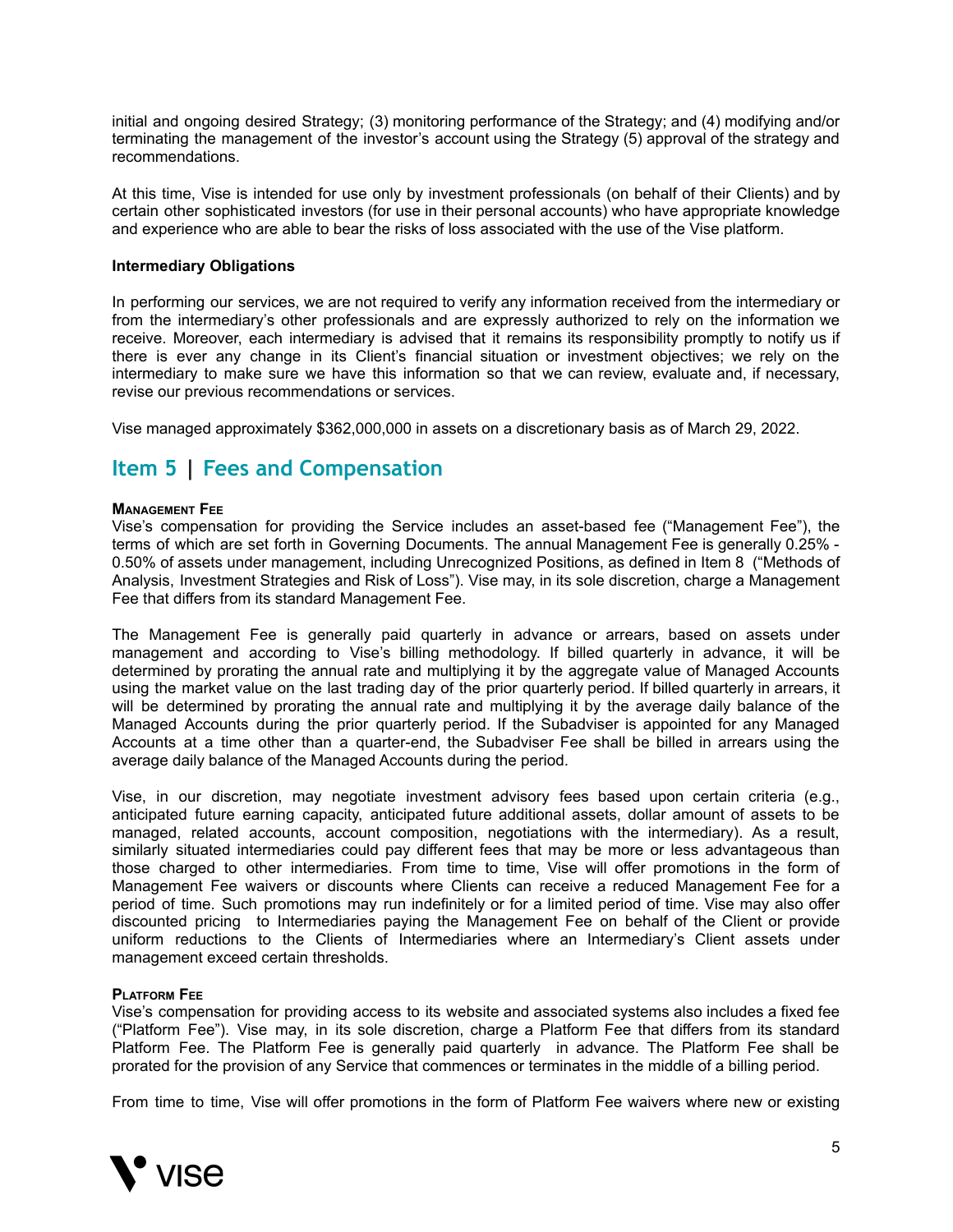initial and ongoing desired Strategy; (3) monitoring performance of the Strategy; and (4) modifying and/or terminating the management of the investor's account using the Strategy (5) approval of the strategy and recommendations.

At this time, Vise is intended for use only by investment professionals (on behalf of their Clients) and by certain other sophisticated investors (for use in their personal accounts) who have appropriate knowledge and experience who are able to bear the risks of loss associated with the use of the Vise platform.

#### **Intermediary Obligations**

In performing our services, we are not required to verify any information received from the intermediary or from the intermediary's other professionals and are expressly authorized to rely on the information we receive. Moreover, each intermediary is advised that it remains its responsibility promptly to notify us if there is ever any change in its Client's financial situation or investment objectives; we rely on the intermediary to make sure we have this information so that we can review, evaluate and, if necessary, revise our previous recommendations or services.

Vise managed approximately \$362,000,000 in assets on a discretionary basis as of March 29, 2022.

## <span id="page-4-0"></span>**Item 5 | Fees and Compensation**

#### **MANAGEMENT FEE**

Vise's compensation for providing the Service includes an asset-based fee ("Management Fee"), the terms of which are set forth in Governing Documents. The annual Management Fee is generally 0.25% - 0.50% of assets under management, including Unrecognized Positions, as defined in Item 8 ("Methods of Analysis, Investment Strategies and Risk of Loss"). Vise may, in its sole discretion, charge a Management Fee that differs from its standard Management Fee.

The Management Fee is generally paid quarterly in advance or arrears, based on assets under management and according to Vise's billing methodology. If billed quarterly in advance, it will be determined by prorating the annual rate and multiplying it by the aggregate value of Managed Accounts using the market value on the last trading day of the prior quarterly period. If billed quarterly in arrears, it will be determined by prorating the annual rate and multiplying it by the average daily balance of the Managed Accounts during the prior quarterly period. If the Subadviser is appointed for any Managed Accounts at a time other than a quarter-end, the Subadviser Fee shall be billed in arrears using the average daily balance of the Managed Accounts during the period.

Vise, in our discretion, may negotiate investment advisory fees based upon certain criteria (e.g., anticipated future earning capacity, anticipated future additional assets, dollar amount of assets to be managed, related accounts, account composition, negotiations with the intermediary). As a result, similarly situated intermediaries could pay different fees that may be more or less advantageous than those charged to other intermediaries. From time to time, Vise will offer promotions in the form of Management Fee waivers or discounts where Clients can receive a reduced Management Fee for a period of time. Such promotions may run indefinitely or for a limited period of time. Vise may also offer discounted pricing to Intermediaries paying the Management Fee on behalf of the Client or provide uniform reductions to the Clients of Intermediaries where an Intermediary's Client assets under management exceed certain thresholds.

#### **PLATFORM FEE**

Vise's compensation for providing access to its website and associated systems also includes a fixed fee ("Platform Fee"). Vise may, in its sole discretion, charge a Platform Fee that differs from its standard Platform Fee. The Platform Fee is generally paid quarterly in advance. The Platform Fee shall be prorated for the provision of any Service that commences or terminates in the middle of a billing period.

From time to time, Vise will offer promotions in the form of Platform Fee waivers where new or existing

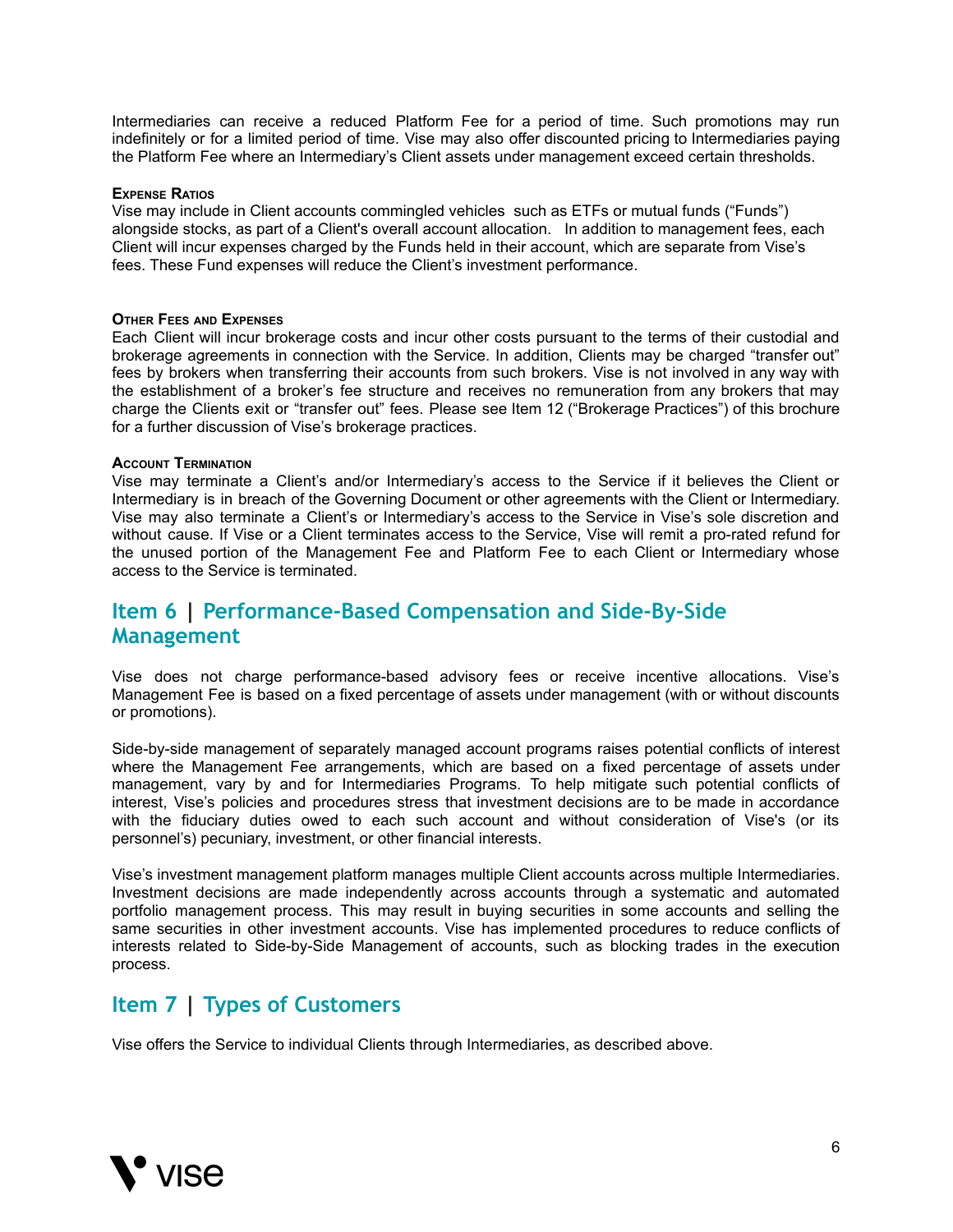Intermediaries can receive a reduced Platform Fee for a period of time. Such promotions may run indefinitely or for a limited period of time. Vise may also offer discounted pricing to Intermediaries paying the Platform Fee where an Intermediary's Client assets under management exceed certain thresholds.

#### **EXPENSE RATIOS**

Vise may include in Client accounts commingled vehicles such as ETFs or mutual funds ("Funds") alongside stocks, as part of a Client's overall account allocation. In addition to management fees, each Client will incur expenses charged by the Funds held in their account, which are separate from Vise's fees. These Fund expenses will reduce the Client's investment performance.

#### **OTHER FEES AND EXPENSES**

Each Client will incur brokerage costs and incur other costs pursuant to the terms of their custodial and brokerage agreements in connection with the Service. In addition, Clients may be charged "transfer out" fees by brokers when transferring their accounts from such brokers. Vise is not involved in any way with the establishment of a broker's fee structure and receives no remuneration from any brokers that may charge the Clients exit or "transfer out" fees. Please see Item 12 ("Brokerage Practices") of this brochure for a further discussion of Vise's brokerage practices.

#### **ACCOUNT TERMINATION**

Vise may terminate a Client's and/or Intermediary's access to the Service if it believes the Client or Intermediary is in breach of the Governing Document or other agreements with the Client or Intermediary. Vise may also terminate a Client's or Intermediary's access to the Service in Vise's sole discretion and without cause. If Vise or a Client terminates access to the Service, Vise will remit a pro-rated refund for the unused portion of the Management Fee and Platform Fee to each Client or Intermediary whose access to the Service is terminated.

## <span id="page-5-0"></span>**Item 6 | Performance-Based Compensation and Side-By-Side Management**

Vise does not charge performance-based advisory fees or receive incentive allocations. Vise's Management Fee is based on a fixed percentage of assets under management (with or without discounts or promotions).

Side-by-side management of separately managed account programs raises potential conflicts of interest where the Management Fee arrangements, which are based on a fixed percentage of assets under management, vary by and for Intermediaries Programs. To help mitigate such potential conflicts of interest, Vise's policies and procedures stress that investment decisions are to be made in accordance with the fiduciary duties owed to each such account and without consideration of Vise's (or its personnel's) pecuniary, investment, or other financial interests.

Vise's investment management platform manages multiple Client accounts across multiple Intermediaries. Investment decisions are made independently across accounts through a systematic and automated portfolio management process. This may result in buying securities in some accounts and selling the same securities in other investment accounts. Vise has implemented procedures to reduce conflicts of interests related to Side-by-Side Management of accounts, such as blocking trades in the execution process.

### <span id="page-5-1"></span>**Item 7 | Types of Customers**

Vise offers the Service to individual Clients through Intermediaries, as described above.

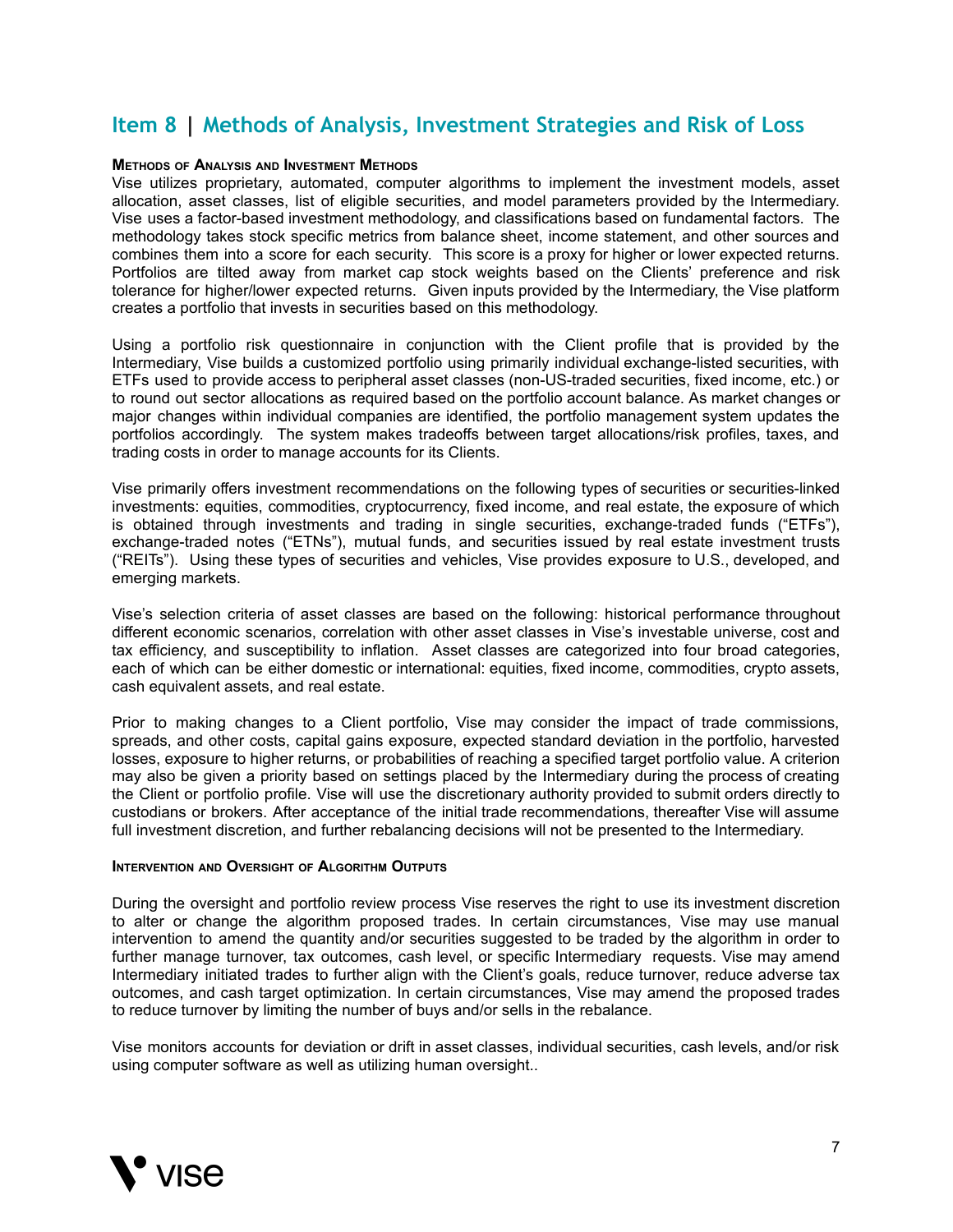## <span id="page-6-0"></span>**Item 8 | Methods of Analysis, Investment Strategies and Risk of Loss**

#### **METHODS OF ANALYSIS AND INVESTMENT METHODS**

Vise utilizes proprietary, automated, computer algorithms to implement the investment models, asset allocation, asset classes, list of eligible securities, and model parameters provided by the Intermediary. Vise uses a factor-based investment methodology, and classifications based on fundamental factors. The methodology takes stock specific metrics from balance sheet, income statement, and other sources and combines them into a score for each security. This score is a proxy for higher or lower expected returns. Portfolios are tilted away from market cap stock weights based on the Clients' preference and risk tolerance for higher/lower expected returns. Given inputs provided by the Intermediary, the Vise platform creates a portfolio that invests in securities based on this methodology.

Using a portfolio risk questionnaire in conjunction with the Client profile that is provided by the Intermediary, Vise builds a customized portfolio using primarily individual exchange-listed securities, with ETFs used to provide access to peripheral asset classes (non-US-traded securities, fixed income, etc.) or to round out sector allocations as required based on the portfolio account balance. As market changes or major changes within individual companies are identified, the portfolio management system updates the portfolios accordingly. The system makes tradeoffs between target allocations/risk profiles, taxes, and trading costs in order to manage accounts for its Clients.

Vise primarily offers investment recommendations on the following types of securities or securities-linked investments: equities, commodities, cryptocurrency, fixed income, and real estate, the exposure of which is obtained through investments and trading in single securities, exchange-traded funds ("ETFs"), exchange-traded notes ("ETNs"), mutual funds, and securities issued by real estate investment trusts ("REITs"). Using these types of securities and vehicles, Vise provides exposure to U.S., developed, and emerging markets.

Vise's selection criteria of asset classes are based on the following: historical performance throughout different economic scenarios, correlation with other asset classes in Vise's investable universe, cost and tax efficiency, and susceptibility to inflation. Asset classes are categorized into four broad categories, each of which can be either domestic or international: equities, fixed income, commodities, crypto assets, cash equivalent assets, and real estate.

Prior to making changes to a Client portfolio, Vise may consider the impact of trade commissions, spreads, and other costs, capital gains exposure, expected standard deviation in the portfolio, harvested losses, exposure to higher returns, or probabilities of reaching a specified target portfolio value. A criterion may also be given a priority based on settings placed by the Intermediary during the process of creating the Client or portfolio profile. Vise will use the discretionary authority provided to submit orders directly to custodians or brokers. After acceptance of the initial trade recommendations, thereafter Vise will assume full investment discretion, and further rebalancing decisions will not be presented to the Intermediary.

#### **INTERVENTION AND OVERSIGHT OF ALGORITHM OUTPUTS**

During the oversight and portfolio review process Vise reserves the right to use its investment discretion to alter or change the algorithm proposed trades. In certain circumstances, Vise may use manual intervention to amend the quantity and/or securities suggested to be traded by the algorithm in order to further manage turnover, tax outcomes, cash level, or specific Intermediary requests. Vise may amend Intermediary initiated trades to further align with the Client's goals, reduce turnover, reduce adverse tax outcomes, and cash target optimization. In certain circumstances, Vise may amend the proposed trades to reduce turnover by limiting the number of buys and/or sells in the rebalance.

Vise monitors accounts for deviation or drift in asset classes, individual securities, cash levels, and/or risk using computer software as well as utilizing human oversight..

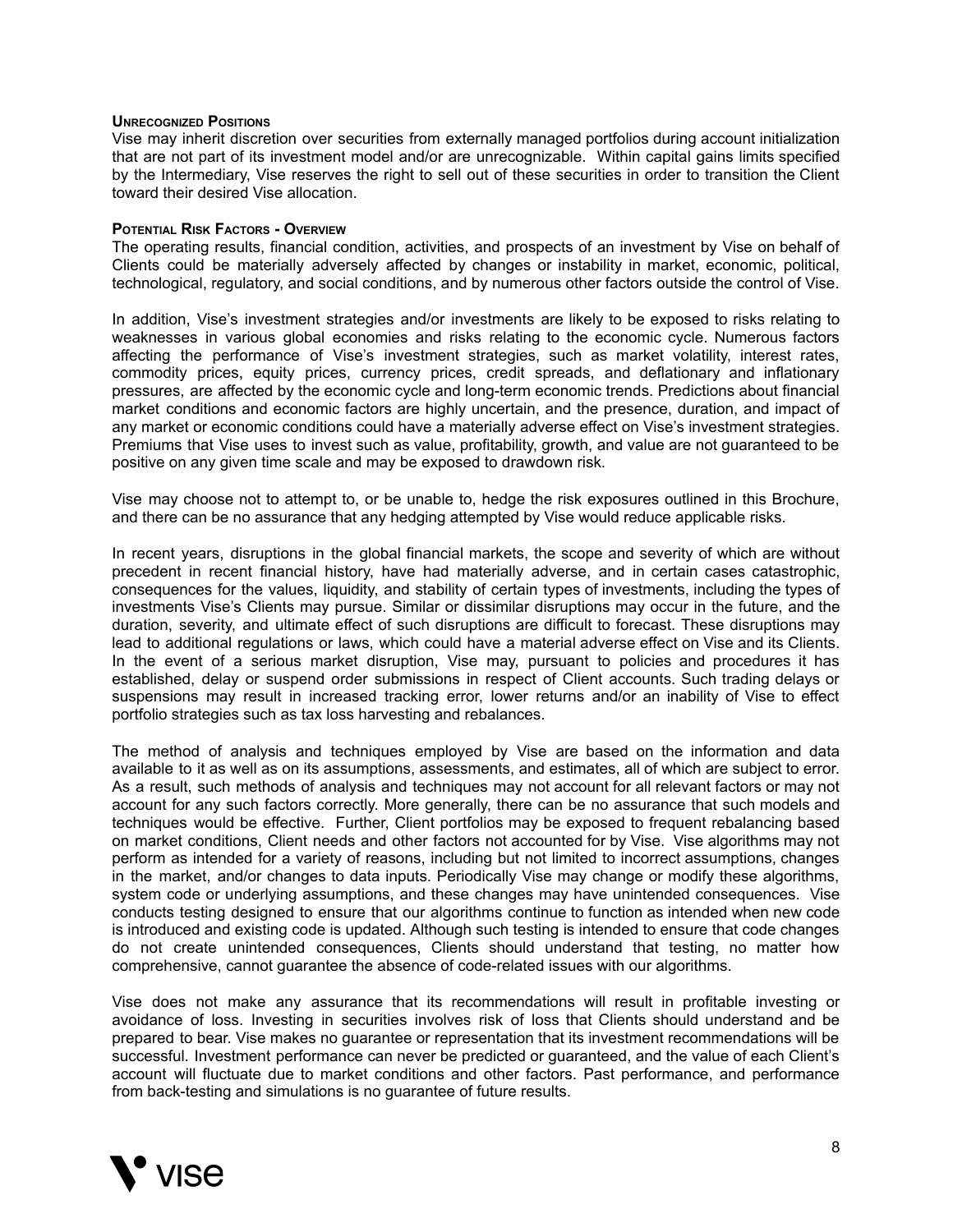#### **UNRECOGNIZED POSITIONS**

Vise may inherit discretion over securities from externally managed portfolios during account initialization that are not part of its investment model and/or are unrecognizable. Within capital gains limits specified by the Intermediary, Vise reserves the right to sell out of these securities in order to transition the Client toward their desired Vise allocation.

#### **POTENTIAL RISK FACTORS - OVERVIEW**

The operating results, financial condition, activities, and prospects of an investment by Vise on behalf of Clients could be materially adversely affected by changes or instability in market, economic, political, technological, regulatory, and social conditions, and by numerous other factors outside the control of Vise.

In addition, Vise's investment strategies and/or investments are likely to be exposed to risks relating to weaknesses in various global economies and risks relating to the economic cycle. Numerous factors affecting the performance of Vise's investment strategies, such as market volatility, interest rates, commodity prices, equity prices, currency prices, credit spreads, and deflationary and inflationary pressures, are affected by the economic cycle and long-term economic trends. Predictions about financial market conditions and economic factors are highly uncertain, and the presence, duration, and impact of any market or economic conditions could have a materially adverse effect on Vise's investment strategies. Premiums that Vise uses to invest such as value, profitability, growth, and value are not guaranteed to be positive on any given time scale and may be exposed to drawdown risk.

Vise may choose not to attempt to, or be unable to, hedge the risk exposures outlined in this Brochure, and there can be no assurance that any hedging attempted by Vise would reduce applicable risks.

In recent years, disruptions in the global financial markets, the scope and severity of which are without precedent in recent financial history, have had materially adverse, and in certain cases catastrophic, consequences for the values, liquidity, and stability of certain types of investments, including the types of investments Vise's Clients may pursue. Similar or dissimilar disruptions may occur in the future, and the duration, severity, and ultimate effect of such disruptions are difficult to forecast. These disruptions may lead to additional regulations or laws, which could have a material adverse effect on Vise and its Clients. In the event of a serious market disruption, Vise may, pursuant to policies and procedures it has established, delay or suspend order submissions in respect of Client accounts. Such trading delays or suspensions may result in increased tracking error, lower returns and/or an inability of Vise to effect portfolio strategies such as tax loss harvesting and rebalances.

The method of analysis and techniques employed by Vise are based on the information and data available to it as well as on its assumptions, assessments, and estimates, all of which are subject to error. As a result, such methods of analysis and techniques may not account for all relevant factors or may not account for any such factors correctly. More generally, there can be no assurance that such models and techniques would be effective. Further, Client portfolios may be exposed to frequent rebalancing based on market conditions, Client needs and other factors not accounted for by Vise. Vise algorithms may not perform as intended for a variety of reasons, including but not limited to incorrect assumptions, changes in the market, and/or changes to data inputs. Periodically Vise may change or modify these algorithms, system code or underlying assumptions, and these changes may have unintended consequences. Vise conducts testing designed to ensure that our algorithms continue to function as intended when new code is introduced and existing code is updated. Although such testing is intended to ensure that code changes do not create unintended consequences, Clients should understand that testing, no matter how comprehensive, cannot guarantee the absence of code-related issues with our algorithms.

Vise does not make any assurance that its recommendations will result in profitable investing or avoidance of loss. Investing in securities involves risk of loss that Clients should understand and be prepared to bear. Vise makes no guarantee or representation that its investment recommendations will be successful. Investment performance can never be predicted or guaranteed, and the value of each Client's account will fluctuate due to market conditions and other factors. Past performance, and performance from back-testing and simulations is no guarantee of future results.

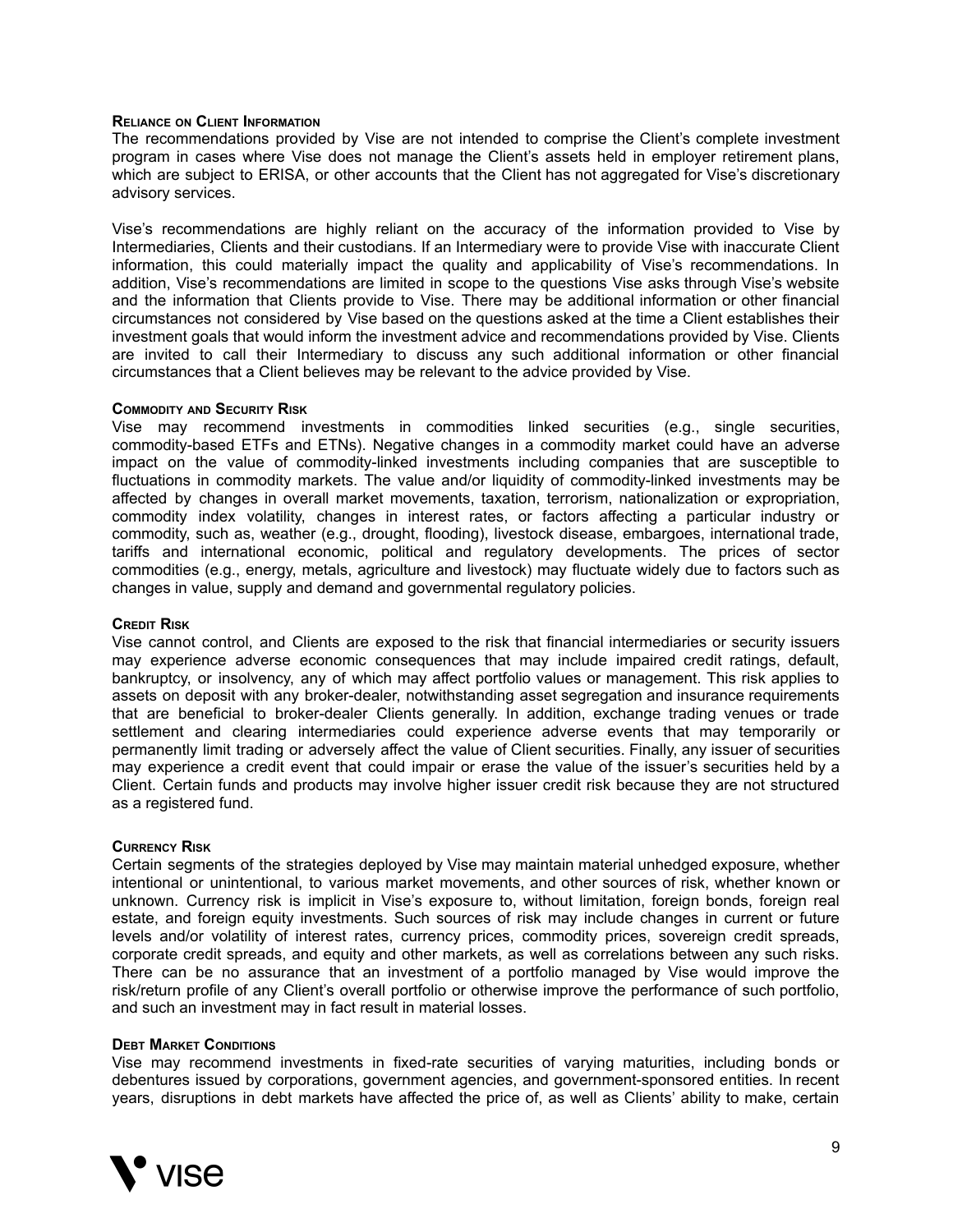#### **RELIANCE ON CLIENT INFORMATION**

The recommendations provided by Vise are not intended to comprise the Client's complete investment program in cases where Vise does not manage the Client's assets held in employer retirement plans, which are subject to ERISA, or other accounts that the Client has not aggregated for Vise's discretionary advisory services.

Vise's recommendations are highly reliant on the accuracy of the information provided to Vise by Intermediaries, Clients and their custodians. If an Intermediary were to provide Vise with inaccurate Client information, this could materially impact the quality and applicability of Vise's recommendations. In addition, Vise's recommendations are limited in scope to the questions Vise asks through Vise's website and the information that Clients provide to Vise. There may be additional information or other financial circumstances not considered by Vise based on the questions asked at the time a Client establishes their investment goals that would inform the investment advice and recommendations provided by Vise. Clients are invited to call their Intermediary to discuss any such additional information or other financial circumstances that a Client believes may be relevant to the advice provided by Vise.

#### **COMMODITY AND SECURITY RISK**

Vise may recommend investments in commodities linked securities (e.g., single securities, commodity-based ETFs and ETNs). Negative changes in a commodity market could have an adverse impact on the value of commodity-linked investments including companies that are susceptible to fluctuations in commodity markets. The value and/or liquidity of commodity-linked investments may be affected by changes in overall market movements, taxation, terrorism, nationalization or expropriation, commodity index volatility, changes in interest rates, or factors affecting a particular industry or commodity, such as, weather (e.g., drought, flooding), livestock disease, embargoes, international trade, tariffs and international economic, political and regulatory developments. The prices of sector commodities (e.g., energy, metals, agriculture and livestock) may fluctuate widely due to factors such as changes in value, supply and demand and governmental regulatory policies.

#### **CREDIT RISK**

Vise cannot control, and Clients are exposed to the risk that financial intermediaries or security issuers may experience adverse economic consequences that may include impaired credit ratings, default, bankruptcy, or insolvency, any of which may affect portfolio values or management. This risk applies to assets on deposit with any broker-dealer, notwithstanding asset segregation and insurance requirements that are beneficial to broker-dealer Clients generally. In addition, exchange trading venues or trade settlement and clearing intermediaries could experience adverse events that may temporarily or permanently limit trading or adversely affect the value of Client securities. Finally, any issuer of securities may experience a credit event that could impair or erase the value of the issuer's securities held by a Client. Certain funds and products may involve higher issuer credit risk because they are not structured as a registered fund.

#### **CURRENCY RISK**

Certain segments of the strategies deployed by Vise may maintain material unhedged exposure, whether intentional or unintentional, to various market movements, and other sources of risk, whether known or unknown. Currency risk is implicit in Vise's exposure to, without limitation, foreign bonds, foreign real estate, and foreign equity investments. Such sources of risk may include changes in current or future levels and/or volatility of interest rates, currency prices, commodity prices, sovereign credit spreads, corporate credit spreads, and equity and other markets, as well as correlations between any such risks. There can be no assurance that an investment of a portfolio managed by Vise would improve the risk/return profile of any Client's overall portfolio or otherwise improve the performance of such portfolio, and such an investment may in fact result in material losses.

#### **DEBT MARKET CONDITIONS**

Vise may recommend investments in fixed-rate securities of varying maturities, including bonds or debentures issued by corporations, government agencies, and government-sponsored entities. In recent years, disruptions in debt markets have affected the price of, as well as Clients' ability to make, certain

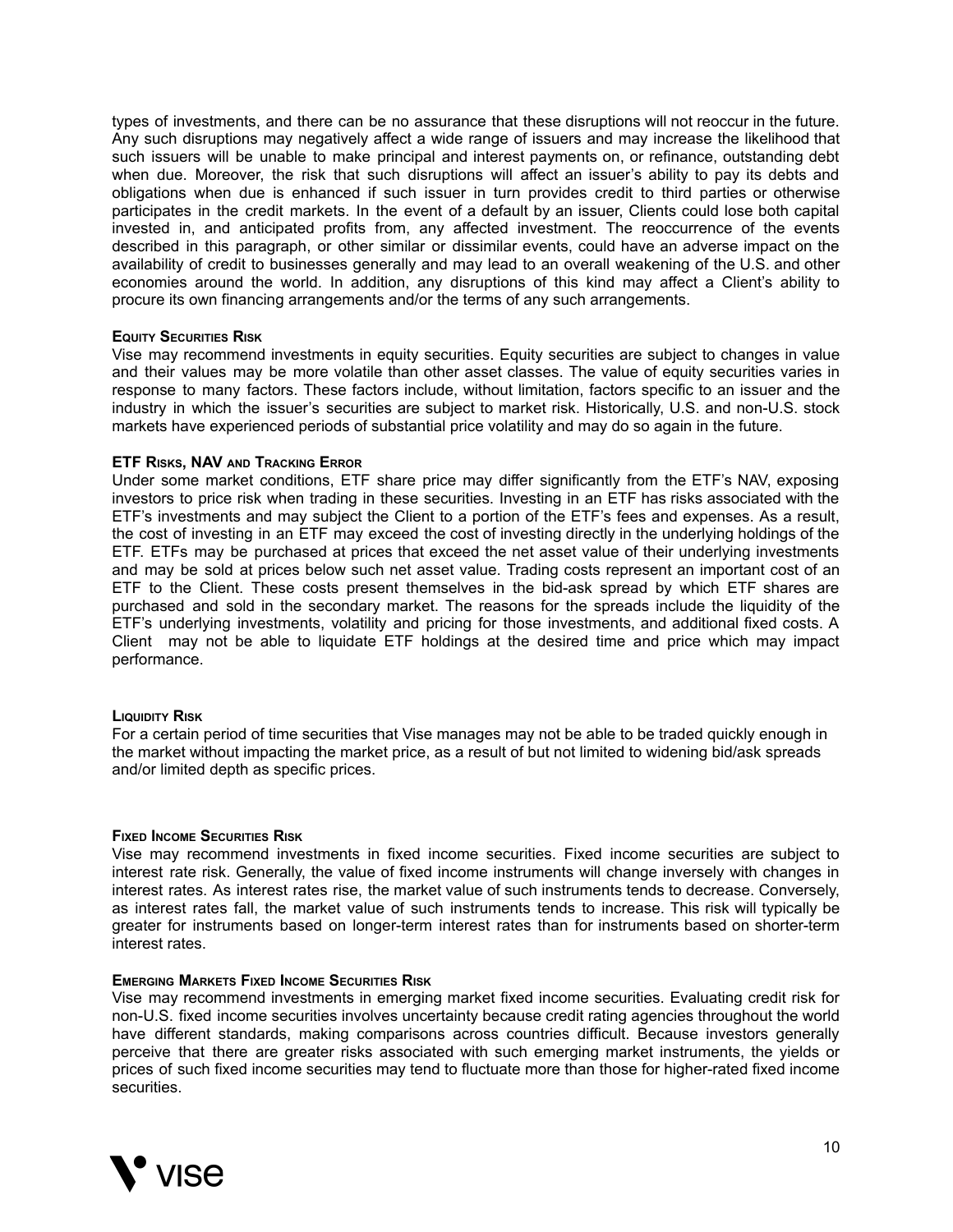types of investments, and there can be no assurance that these disruptions will not reoccur in the future. Any such disruptions may negatively affect a wide range of issuers and may increase the likelihood that such issuers will be unable to make principal and interest payments on, or refinance, outstanding debt when due. Moreover, the risk that such disruptions will affect an issuer's ability to pay its debts and obligations when due is enhanced if such issuer in turn provides credit to third parties or otherwise participates in the credit markets. In the event of a default by an issuer, Clients could lose both capital invested in, and anticipated profits from, any affected investment. The reoccurrence of the events described in this paragraph, or other similar or dissimilar events, could have an adverse impact on the availability of credit to businesses generally and may lead to an overall weakening of the U.S. and other economies around the world. In addition, any disruptions of this kind may affect a Client's ability to procure its own financing arrangements and/or the terms of any such arrangements.

#### **EQUITY SECURITIES RISK**

Vise may recommend investments in equity securities. Equity securities are subject to changes in value and their values may be more volatile than other asset classes. The value of equity securities varies in response to many factors. These factors include, without limitation, factors specific to an issuer and the industry in which the issuer's securities are subject to market risk. Historically, U.S. and non-U.S. stock markets have experienced periods of substantial price volatility and may do so again in the future.

#### **ETF RISKS, NAV AND TRACKING ERROR**

Under some market conditions, ETF share price may differ significantly from the ETF's NAV, exposing investors to price risk when trading in these securities. Investing in an ETF has risks associated with the ETF's investments and may subject the Client to a portion of the ETF's fees and expenses. As a result, the cost of investing in an ETF may exceed the cost of investing directly in the underlying holdings of the ETF. ETFs may be purchased at prices that exceed the net asset value of their underlying investments and may be sold at prices below such net asset value. Trading costs represent an important cost of an ETF to the Client. These costs present themselves in the bid-ask spread by which ETF shares are purchased and sold in the secondary market. The reasons for the spreads include the liquidity of the ETF's underlying investments, volatility and pricing for those investments, and additional fixed costs. A Client may not be able to liquidate ETF holdings at the desired time and price which may impact performance.

#### **LIQUIDITY RISK**

For a certain period of time securities that Vise manages may not be able to be traded quickly enough in the market without impacting the market price, as a result of but not limited to widening bid/ask spreads and/or limited depth as specific prices.

#### **FIXED INCOME SECURITIES RISK**

Vise may recommend investments in fixed income securities. Fixed income securities are subject to interest rate risk. Generally, the value of fixed income instruments will change inversely with changes in interest rates. As interest rates rise, the market value of such instruments tends to decrease. Conversely, as interest rates fall, the market value of such instruments tends to increase. This risk will typically be greater for instruments based on longer-term interest rates than for instruments based on shorter-term interest rates.

#### **EMERGING MARKETS FIXED INCOME SECURITIES RISK**

Vise may recommend investments in emerging market fixed income securities. Evaluating credit risk for non-U.S. fixed income securities involves uncertainty because credit rating agencies throughout the world have different standards, making comparisons across countries difficult. Because investors generally perceive that there are greater risks associated with such emerging market instruments, the yields or prices of such fixed income securities may tend to fluctuate more than those for higher-rated fixed income securities.

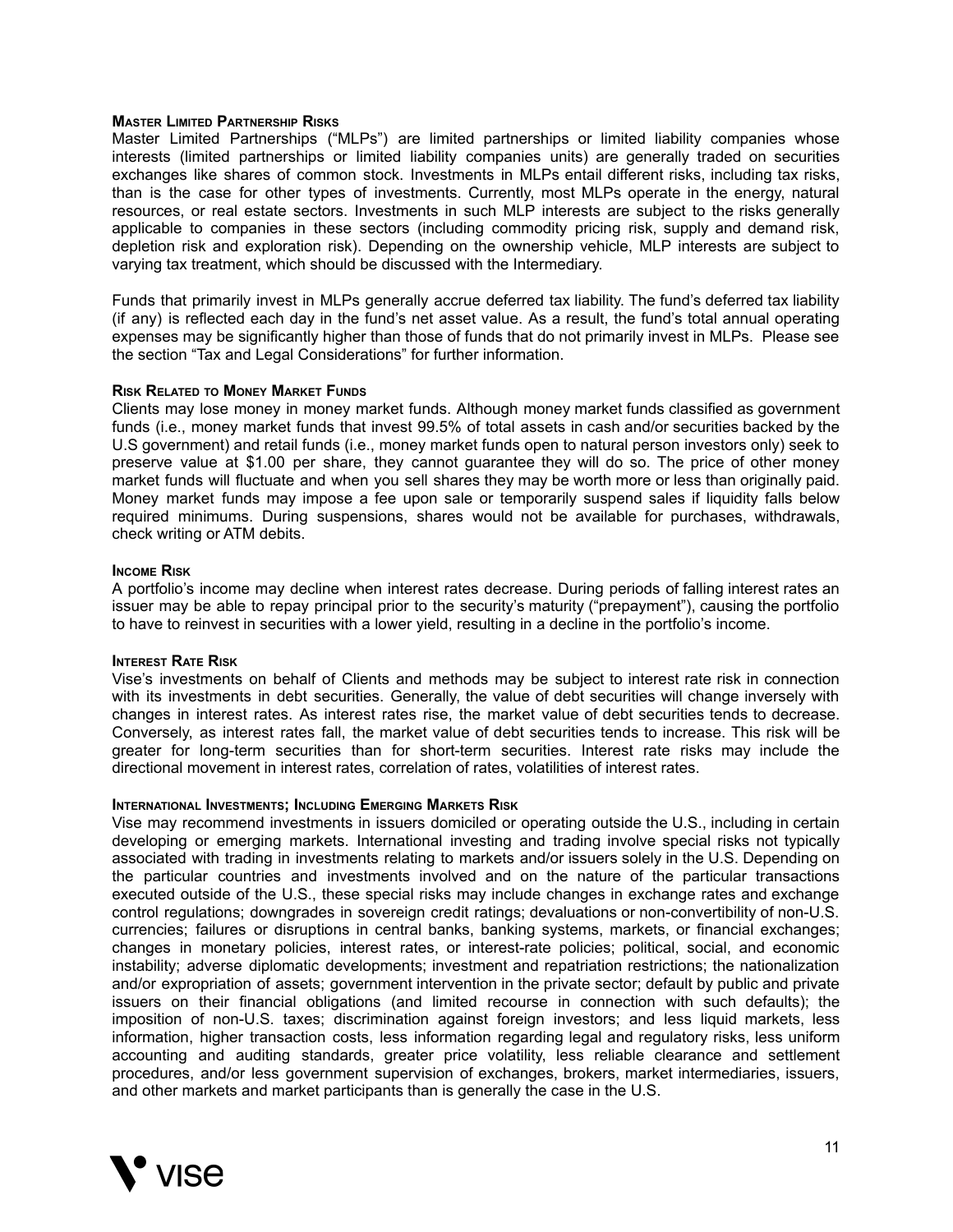#### **MASTER LIMITED PARTNERSHIP RISKS**

Master Limited Partnerships ("MLPs") are limited partnerships or limited liability companies whose interests (limited partnerships or limited liability companies units) are generally traded on securities exchanges like shares of common stock. Investments in MLPs entail different risks, including tax risks, than is the case for other types of investments. Currently, most MLPs operate in the energy, natural resources, or real estate sectors. Investments in such MLP interests are subject to the risks generally applicable to companies in these sectors (including commodity pricing risk, supply and demand risk, depletion risk and exploration risk). Depending on the ownership vehicle, MLP interests are subject to varying tax treatment, which should be discussed with the Intermediary.

Funds that primarily invest in MLPs generally accrue deferred tax liability. The fund's deferred tax liability (if any) is reflected each day in the fund's net asset value. As a result, the fund's total annual operating expenses may be significantly higher than those of funds that do not primarily invest in MLPs. Please see the section "Tax and Legal Considerations" for further information.

#### **RISK RELATED TO MONEY MARKET FUNDS**

Clients may lose money in money market funds. Although money market funds classified as government funds (i.e., money market funds that invest 99.5% of total assets in cash and/or securities backed by the U.S government) and retail funds (i.e., money market funds open to natural person investors only) seek to preserve value at \$1.00 per share, they cannot guarantee they will do so. The price of other money market funds will fluctuate and when you sell shares they may be worth more or less than originally paid. Money market funds may impose a fee upon sale or temporarily suspend sales if liquidity falls below required minimums. During suspensions, shares would not be available for purchases, withdrawals, check writing or ATM debits.

#### **INCOME RISK**

A portfolio's income may decline when interest rates decrease. During periods of falling interest rates an issuer may be able to repay principal prior to the security's maturity ("prepayment"), causing the portfolio to have to reinvest in securities with a lower yield, resulting in a decline in the portfolio's income.

#### **INTEREST RATE RISK**

Vise's investments on behalf of Clients and methods may be subject to interest rate risk in connection with its investments in debt securities. Generally, the value of debt securities will change inversely with changes in interest rates. As interest rates rise, the market value of debt securities tends to decrease. Conversely, as interest rates fall, the market value of debt securities tends to increase. This risk will be greater for long-term securities than for short-term securities. Interest rate risks may include the directional movement in interest rates, correlation of rates, volatilities of interest rates.

#### **INTERNATIONAL INVESTMENTS; INCLUDING EMERGING MARKETS RISK**

Vise may recommend investments in issuers domiciled or operating outside the U.S., including in certain developing or emerging markets. International investing and trading involve special risks not typically associated with trading in investments relating to markets and/or issuers solely in the U.S. Depending on the particular countries and investments involved and on the nature of the particular transactions executed outside of the U.S., these special risks may include changes in exchange rates and exchange control regulations; downgrades in sovereign credit ratings; devaluations or non-convertibility of non-U.S. currencies; failures or disruptions in central banks, banking systems, markets, or financial exchanges; changes in monetary policies, interest rates, or interest-rate policies; political, social, and economic instability; adverse diplomatic developments; investment and repatriation restrictions; the nationalization and/or expropriation of assets; government intervention in the private sector; default by public and private issuers on their financial obligations (and limited recourse in connection with such defaults); the imposition of non-U.S. taxes; discrimination against foreign investors; and less liquid markets, less information, higher transaction costs, less information regarding legal and regulatory risks, less uniform accounting and auditing standards, greater price volatility, less reliable clearance and settlement procedures, and/or less government supervision of exchanges, brokers, market intermediaries, issuers, and other markets and market participants than is generally the case in the U.S.

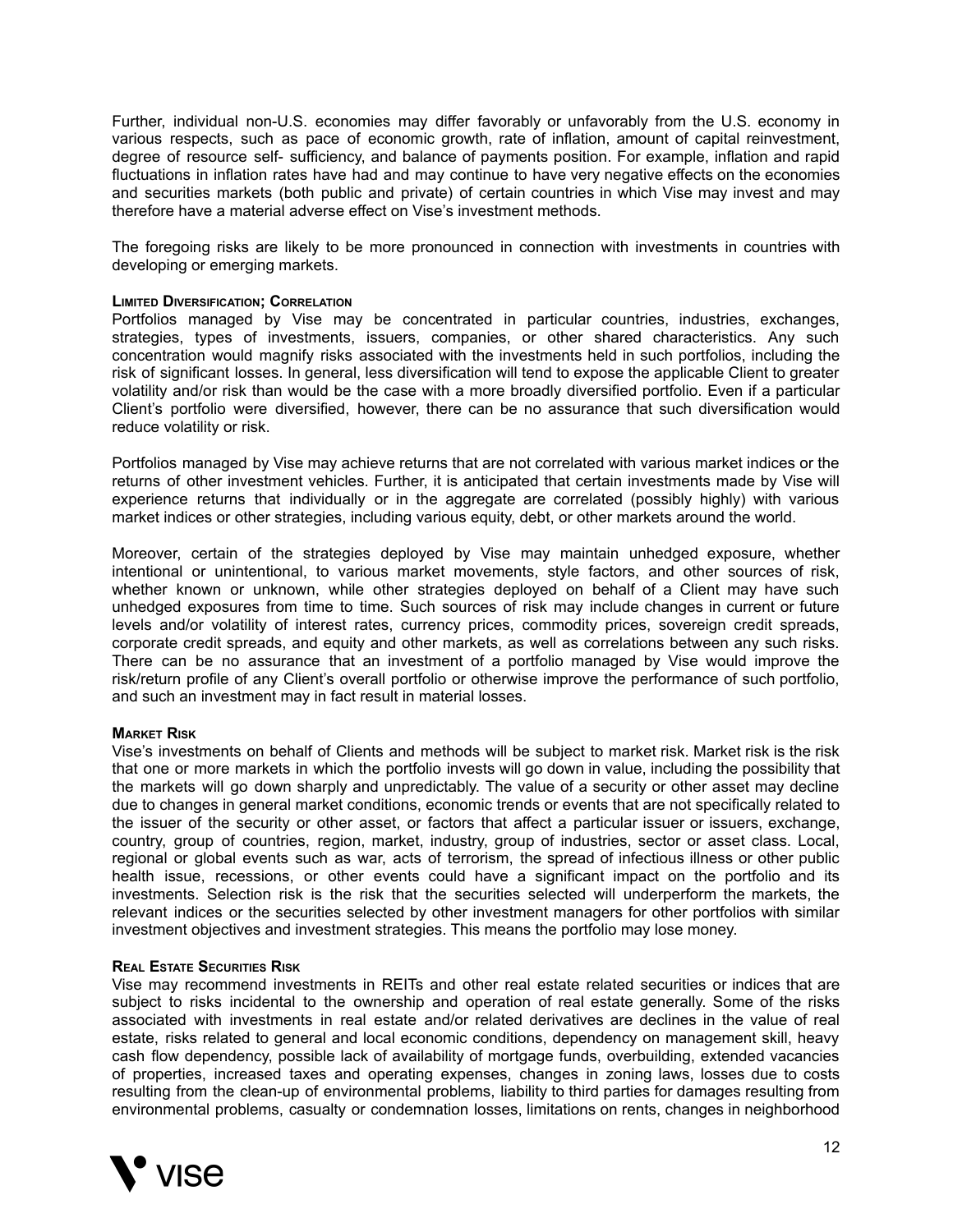Further, individual non-U.S. economies may differ favorably or unfavorably from the U.S. economy in various respects, such as pace of economic growth, rate of inflation, amount of capital reinvestment, degree of resource self- sufficiency, and balance of payments position. For example, inflation and rapid fluctuations in inflation rates have had and may continue to have very negative effects on the economies and securities markets (both public and private) of certain countries in which Vise may invest and may therefore have a material adverse effect on Vise's investment methods.

The foregoing risks are likely to be more pronounced in connection with investments in countries with developing or emerging markets.

#### **LIMITED DIVERSIFICATION; CORRELATION**

Portfolios managed by Vise may be concentrated in particular countries, industries, exchanges, strategies, types of investments, issuers, companies, or other shared characteristics. Any such concentration would magnify risks associated with the investments held in such portfolios, including the risk of significant losses. In general, less diversification will tend to expose the applicable Client to greater volatility and/or risk than would be the case with a more broadly diversified portfolio. Even if a particular Client's portfolio were diversified, however, there can be no assurance that such diversification would reduce volatility or risk.

Portfolios managed by Vise may achieve returns that are not correlated with various market indices or the returns of other investment vehicles. Further, it is anticipated that certain investments made by Vise will experience returns that individually or in the aggregate are correlated (possibly highly) with various market indices or other strategies, including various equity, debt, or other markets around the world.

Moreover, certain of the strategies deployed by Vise may maintain unhedged exposure, whether intentional or unintentional, to various market movements, style factors, and other sources of risk, whether known or unknown, while other strategies deployed on behalf of a Client may have such unhedged exposures from time to time. Such sources of risk may include changes in current or future levels and/or volatility of interest rates, currency prices, commodity prices, sovereign credit spreads, corporate credit spreads, and equity and other markets, as well as correlations between any such risks. There can be no assurance that an investment of a portfolio managed by Vise would improve the risk/return profile of any Client's overall portfolio or otherwise improve the performance of such portfolio, and such an investment may in fact result in material losses.

#### **MARKET RISK**

Vise's investments on behalf of Clients and methods will be subject to market risk. Market risk is the risk that one or more markets in which the portfolio invests will go down in value, including the possibility that the markets will go down sharply and unpredictably. The value of a security or other asset may decline due to changes in general market conditions, economic trends or events that are not specifically related to the issuer of the security or other asset, or factors that affect a particular issuer or issuers, exchange, country, group of countries, region, market, industry, group of industries, sector or asset class. Local, regional or global events such as war, acts of terrorism, the spread of infectious illness or other public health issue, recessions, or other events could have a significant impact on the portfolio and its investments. Selection risk is the risk that the securities selected will underperform the markets, the relevant indices or the securities selected by other investment managers for other portfolios with similar investment objectives and investment strategies. This means the portfolio may lose money.

#### **REAL ESTATE SECURITIES RISK**

Vise may recommend investments in REITs and other real estate related securities or indices that are subject to risks incidental to the ownership and operation of real estate generally. Some of the risks associated with investments in real estate and/or related derivatives are declines in the value of real estate, risks related to general and local economic conditions, dependency on management skill, heavy cash flow dependency, possible lack of availability of mortgage funds, overbuilding, extended vacancies of properties, increased taxes and operating expenses, changes in zoning laws, losses due to costs resulting from the clean-up of environmental problems, liability to third parties for damages resulting from environmental problems, casualty or condemnation losses, limitations on rents, changes in neighborhood

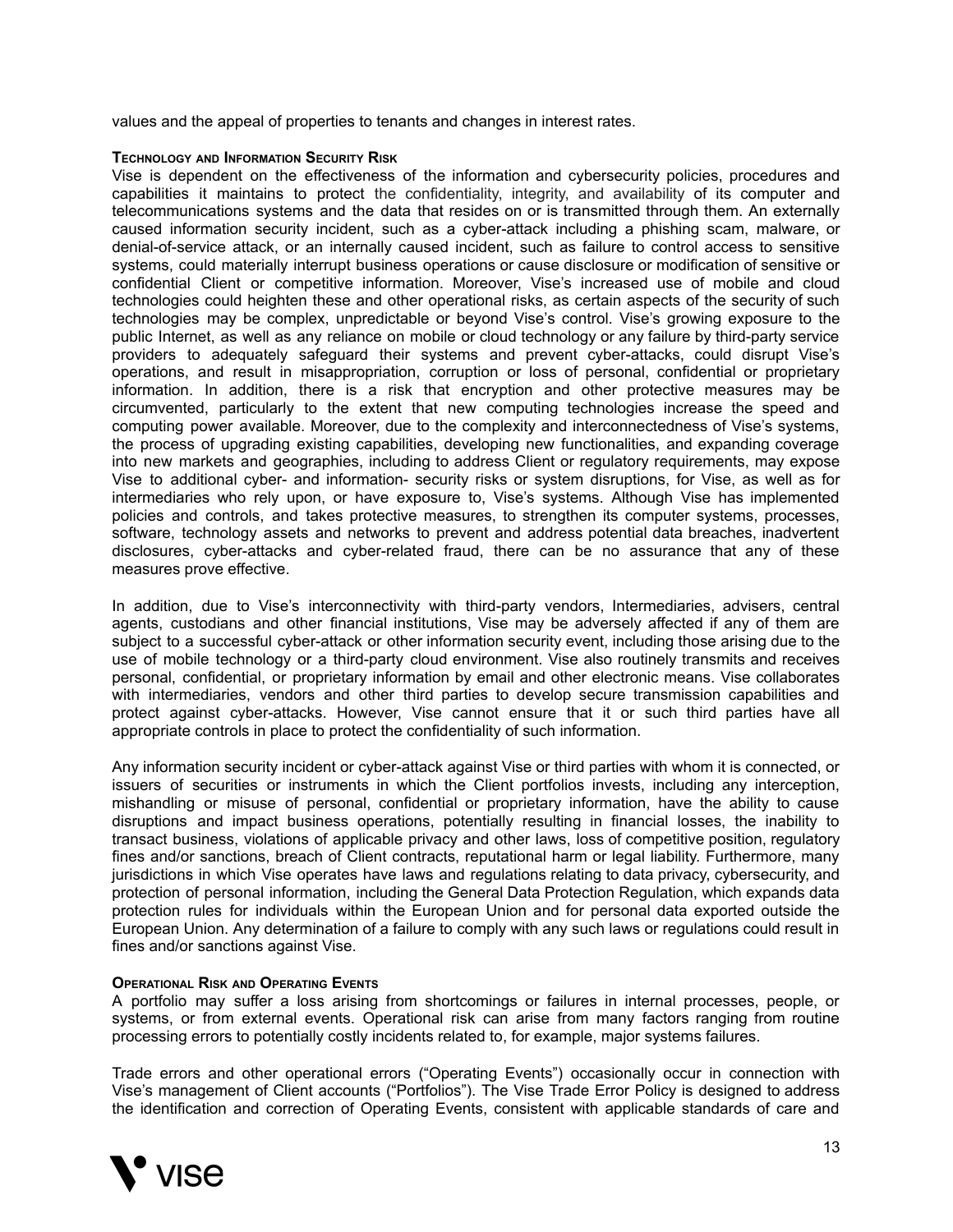values and the appeal of properties to tenants and changes in interest rates.

#### **TECHNOLOGY AND INFORMATION SECURITY RISK**

Vise is dependent on the effectiveness of the information and cybersecurity policies, procedures and capabilities it maintains to protect the confidentiality, integrity, and availability of its computer and telecommunications systems and the data that resides on or is transmitted through them. An externally caused information security incident, such as a cyber-attack including a phishing scam, malware, or denial-of-service attack, or an internally caused incident, such as failure to control access to sensitive systems, could materially interrupt business operations or cause disclosure or modification of sensitive or confidential Client or competitive information. Moreover, Vise's increased use of mobile and cloud technologies could heighten these and other operational risks, as certain aspects of the security of such technologies may be complex, unpredictable or beyond Vise's control. Vise's growing exposure to the public Internet, as well as any reliance on mobile or cloud technology or any failure by third-party service providers to adequately safeguard their systems and prevent cyber-attacks, could disrupt Vise's operations, and result in misappropriation, corruption or loss of personal, confidential or proprietary information. In addition, there is a risk that encryption and other protective measures may be circumvented, particularly to the extent that new computing technologies increase the speed and computing power available. Moreover, due to the complexity and interconnectedness of Vise's systems, the process of upgrading existing capabilities, developing new functionalities, and expanding coverage into new markets and geographies, including to address Client or regulatory requirements, may expose Vise to additional cyber- and information- security risks or system disruptions, for Vise, as well as for intermediaries who rely upon, or have exposure to, Vise's systems. Although Vise has implemented policies and controls, and takes protective measures, to strengthen its computer systems, processes, software, technology assets and networks to prevent and address potential data breaches, inadvertent disclosures, cyber-attacks and cyber-related fraud, there can be no assurance that any of these measures prove effective.

In addition, due to Vise's interconnectivity with third-party vendors, Intermediaries, advisers, central agents, custodians and other financial institutions, Vise may be adversely affected if any of them are subject to a successful cyber-attack or other information security event, including those arising due to the use of mobile technology or a third-party cloud environment. Vise also routinely transmits and receives personal, confidential, or proprietary information by email and other electronic means. Vise collaborates with intermediaries, vendors and other third parties to develop secure transmission capabilities and protect against cyber-attacks. However, Vise cannot ensure that it or such third parties have all appropriate controls in place to protect the confidentiality of such information.

Any information security incident or cyber-attack against Vise or third parties with whom it is connected, or issuers of securities or instruments in which the Client portfolios invests, including any interception, mishandling or misuse of personal, confidential or proprietary information, have the ability to cause disruptions and impact business operations, potentially resulting in financial losses, the inability to transact business, violations of applicable privacy and other laws, loss of competitive position, regulatory fines and/or sanctions, breach of Client contracts, reputational harm or legal liability. Furthermore, many jurisdictions in which Vise operates have laws and regulations relating to data privacy, cybersecurity, and protection of personal information, including the General Data Protection Regulation, which expands data protection rules for individuals within the European Union and for personal data exported outside the European Union. Any determination of a failure to comply with any such laws or regulations could result in fines and/or sanctions against Vise.

#### **OPERATIONAL RISK AND OPERATING EVENTS**

A portfolio may suffer a loss arising from shortcomings or failures in internal processes, people, or systems, or from external events. Operational risk can arise from many factors ranging from routine processing errors to potentially costly incidents related to, for example, major systems failures.

Trade errors and other operational errors ("Operating Events") occasionally occur in connection with Vise's management of Client accounts ("Portfolios"). The Vise Trade Error Policy is designed to address the identification and correction of Operating Events, consistent with applicable standards of care and

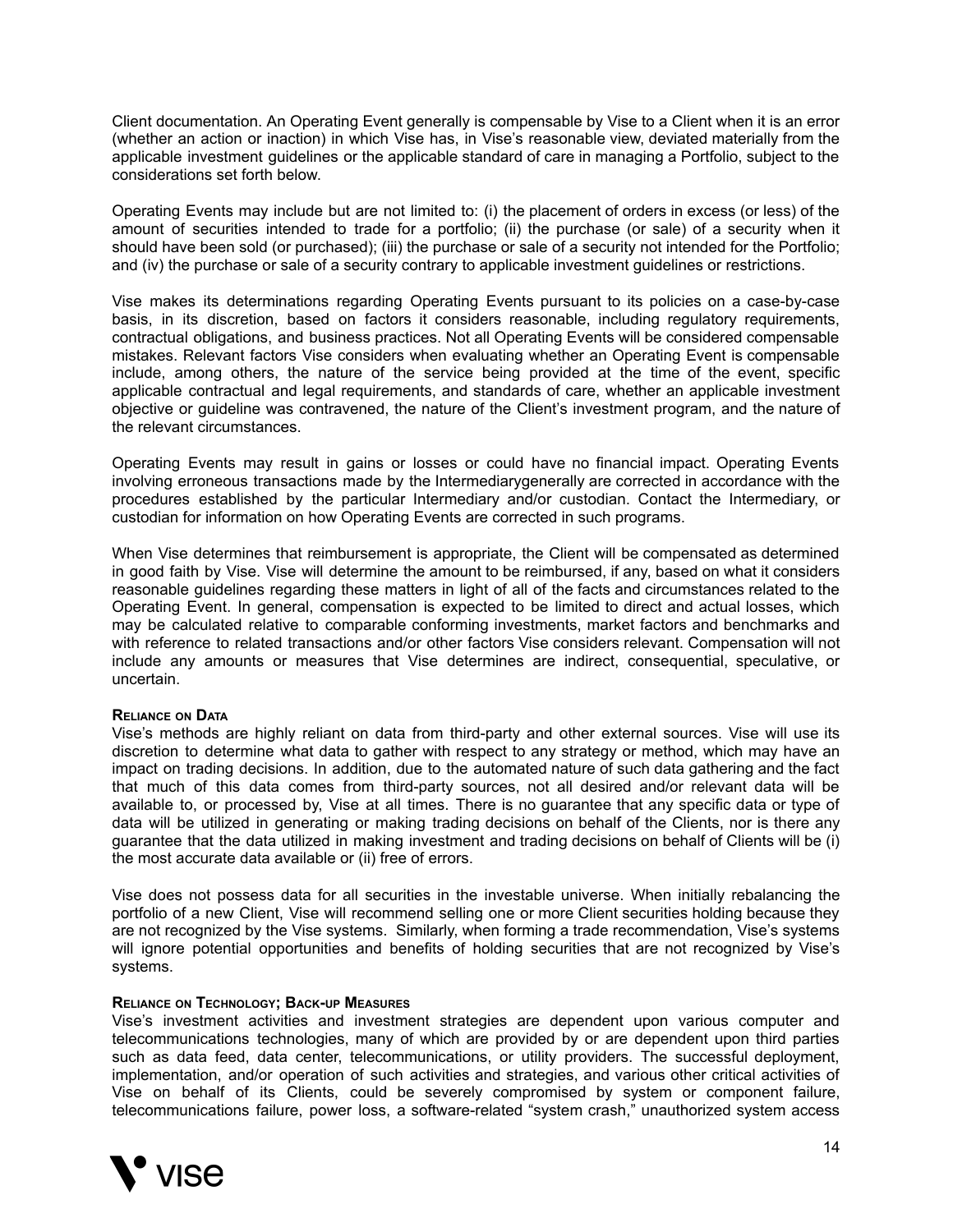Client documentation. An Operating Event generally is compensable by Vise to a Client when it is an error (whether an action or inaction) in which Vise has, in Vise's reasonable view, deviated materially from the applicable investment guidelines or the applicable standard of care in managing a Portfolio, subject to the considerations set forth below.

Operating Events may include but are not limited to: (i) the placement of orders in excess (or less) of the amount of securities intended to trade for a portfolio; (ii) the purchase (or sale) of a security when it should have been sold (or purchased); (iii) the purchase or sale of a security not intended for the Portfolio; and (iv) the purchase or sale of a security contrary to applicable investment guidelines or restrictions.

Vise makes its determinations regarding Operating Events pursuant to its policies on a case-by-case basis, in its discretion, based on factors it considers reasonable, including regulatory requirements, contractual obligations, and business practices. Not all Operating Events will be considered compensable mistakes. Relevant factors Vise considers when evaluating whether an Operating Event is compensable include, among others, the nature of the service being provided at the time of the event, specific applicable contractual and legal requirements, and standards of care, whether an applicable investment objective or guideline was contravened, the nature of the Client's investment program, and the nature of the relevant circumstances.

Operating Events may result in gains or losses or could have no financial impact. Operating Events involving erroneous transactions made by the Intermediarygenerally are corrected in accordance with the procedures established by the particular Intermediary and/or custodian. Contact the Intermediary, or custodian for information on how Operating Events are corrected in such programs.

When Vise determines that reimbursement is appropriate, the Client will be compensated as determined in good faith by Vise. Vise will determine the amount to be reimbursed, if any, based on what it considers reasonable guidelines regarding these matters in light of all of the facts and circumstances related to the Operating Event. In general, compensation is expected to be limited to direct and actual losses, which may be calculated relative to comparable conforming investments, market factors and benchmarks and with reference to related transactions and/or other factors Vise considers relevant. Compensation will not include any amounts or measures that Vise determines are indirect, consequential, speculative, or uncertain.

#### **RELIANCE ON DATA**

Vise's methods are highly reliant on data from third-party and other external sources. Vise will use its discretion to determine what data to gather with respect to any strategy or method, which may have an impact on trading decisions. In addition, due to the automated nature of such data gathering and the fact that much of this data comes from third-party sources, not all desired and/or relevant data will be available to, or processed by, Vise at all times. There is no guarantee that any specific data or type of data will be utilized in generating or making trading decisions on behalf of the Clients, nor is there any guarantee that the data utilized in making investment and trading decisions on behalf of Clients will be (i) the most accurate data available or (ii) free of errors.

Vise does not possess data for all securities in the investable universe. When initially rebalancing the portfolio of a new Client, Vise will recommend selling one or more Client securities holding because they are not recognized by the Vise systems. Similarly, when forming a trade recommendation, Vise's systems will ignore potential opportunities and benefits of holding securities that are not recognized by Vise's systems.

#### **RELIANCE ON TECHNOLOGY; BACK-UP MEASURES**

Vise's investment activities and investment strategies are dependent upon various computer and telecommunications technologies, many of which are provided by or are dependent upon third parties such as data feed, data center, telecommunications, or utility providers. The successful deployment, implementation, and/or operation of such activities and strategies, and various other critical activities of Vise on behalf of its Clients, could be severely compromised by system or component failure, telecommunications failure, power loss, a software-related "system crash," unauthorized system access

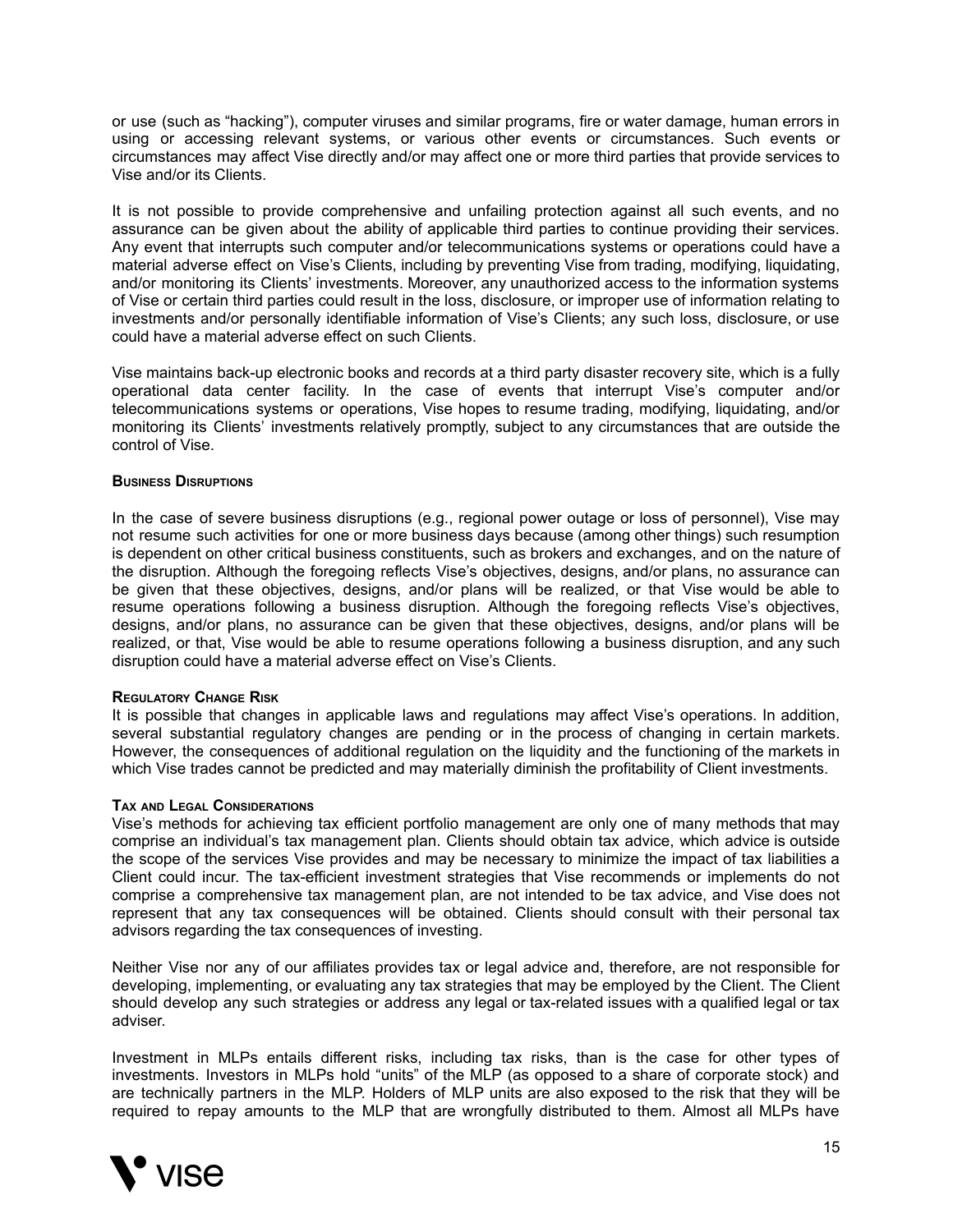or use (such as "hacking"), computer viruses and similar programs, fire or water damage, human errors in using or accessing relevant systems, or various other events or circumstances. Such events or circumstances may affect Vise directly and/or may affect one or more third parties that provide services to Vise and/or its Clients.

It is not possible to provide comprehensive and unfailing protection against all such events, and no assurance can be given about the ability of applicable third parties to continue providing their services. Any event that interrupts such computer and/or telecommunications systems or operations could have a material adverse effect on Vise's Clients, including by preventing Vise from trading, modifying, liquidating, and/or monitoring its Clients' investments. Moreover, any unauthorized access to the information systems of Vise or certain third parties could result in the loss, disclosure, or improper use of information relating to investments and/or personally identifiable information of Vise's Clients; any such loss, disclosure, or use could have a material adverse effect on such Clients.

Vise maintains back-up electronic books and records at a third party disaster recovery site, which is a fully operational data center facility. In the case of events that interrupt Vise's computer and/or telecommunications systems or operations, Vise hopes to resume trading, modifying, liquidating, and/or monitoring its Clients' investments relatively promptly, subject to any circumstances that are outside the control of Vise.

#### **BUSINESS DISRUPTIONS**

In the case of severe business disruptions (e.g., regional power outage or loss of personnel), Vise may not resume such activities for one or more business days because (among other things) such resumption is dependent on other critical business constituents, such as brokers and exchanges, and on the nature of the disruption. Although the foregoing reflects Vise's objectives, designs, and/or plans, no assurance can be given that these objectives, designs, and/or plans will be realized, or that Vise would be able to resume operations following a business disruption. Although the foregoing reflects Vise's objectives, designs, and/or plans, no assurance can be given that these objectives, designs, and/or plans will be realized, or that, Vise would be able to resume operations following a business disruption, and any such disruption could have a material adverse effect on Vise's Clients.

#### **REGULATORY CHANGE RISK**

It is possible that changes in applicable laws and regulations may affect Vise's operations. In addition, several substantial regulatory changes are pending or in the process of changing in certain markets. However, the consequences of additional regulation on the liquidity and the functioning of the markets in which Vise trades cannot be predicted and may materially diminish the profitability of Client investments.

#### **TAX AND LEGAL CONSIDERATIONS**

Vise's methods for achieving tax efficient portfolio management are only one of many methods that may comprise an individual's tax management plan. Clients should obtain tax advice, which advice is outside the scope of the services Vise provides and may be necessary to minimize the impact of tax liabilities a Client could incur. The tax-efficient investment strategies that Vise recommends or implements do not comprise a comprehensive tax management plan, are not intended to be tax advice, and Vise does not represent that any tax consequences will be obtained. Clients should consult with their personal tax advisors regarding the tax consequences of investing.

Neither Vise nor any of our affiliates provides tax or legal advice and, therefore, are not responsible for developing, implementing, or evaluating any tax strategies that may be employed by the Client. The Client should develop any such strategies or address any legal or tax-related issues with a qualified legal or tax adviser.

Investment in MLPs entails different risks, including tax risks, than is the case for other types of investments. Investors in MLPs hold "units" of the MLP (as opposed to a share of corporate stock) and are technically partners in the MLP. Holders of MLP units are also exposed to the risk that they will be required to repay amounts to the MLP that are wrongfully distributed to them. Almost all MLPs have

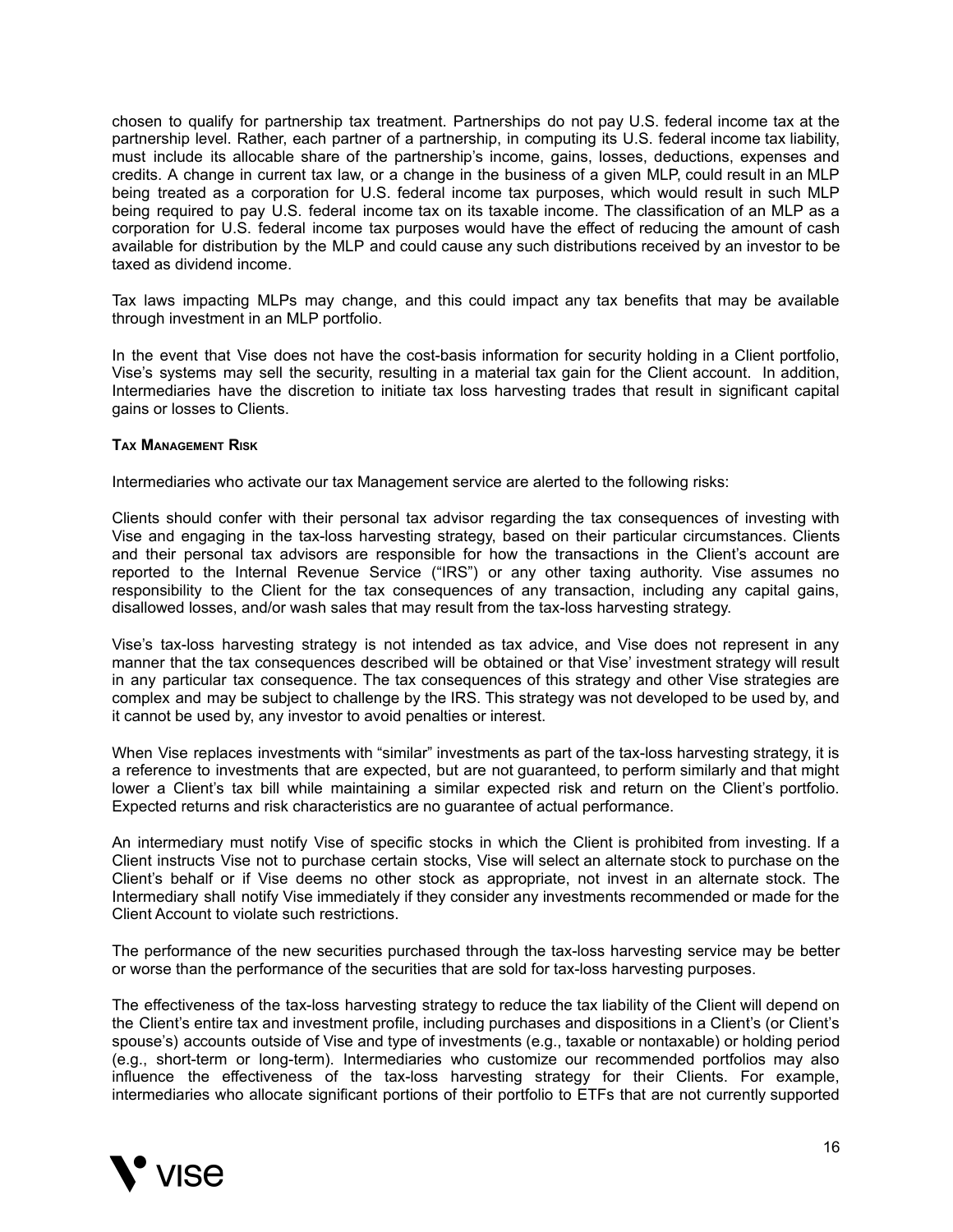chosen to qualify for partnership tax treatment. Partnerships do not pay U.S. federal income tax at the partnership level. Rather, each partner of a partnership, in computing its U.S. federal income tax liability, must include its allocable share of the partnership's income, gains, losses, deductions, expenses and credits. A change in current tax law, or a change in the business of a given MLP, could result in an MLP being treated as a corporation for U.S. federal income tax purposes, which would result in such MLP being required to pay U.S. federal income tax on its taxable income. The classification of an MLP as a corporation for U.S. federal income tax purposes would have the effect of reducing the amount of cash available for distribution by the MLP and could cause any such distributions received by an investor to be taxed as dividend income.

Tax laws impacting MLPs may change, and this could impact any tax benefits that may be available through investment in an MLP portfolio.

In the event that Vise does not have the cost-basis information for security holding in a Client portfolio, Vise's systems may sell the security, resulting in a material tax gain for the Client account. In addition, Intermediaries have the discretion to initiate tax loss harvesting trades that result in significant capital gains or losses to Clients.

#### **TAX MANAGEMENT RISK**

Intermediaries who activate our tax Management service are alerted to the following risks:

Clients should confer with their personal tax advisor regarding the tax consequences of investing with Vise and engaging in the tax-loss harvesting strategy, based on their particular circumstances. Clients and their personal tax advisors are responsible for how the transactions in the Client's account are reported to the Internal Revenue Service ("IRS") or any other taxing authority. Vise assumes no responsibility to the Client for the tax consequences of any transaction, including any capital gains, disallowed losses, and/or wash sales that may result from the tax-loss harvesting strategy.

Vise's tax-loss harvesting strategy is not intended as tax advice, and Vise does not represent in any manner that the tax consequences described will be obtained or that Vise' investment strategy will result in any particular tax consequence. The tax consequences of this strategy and other Vise strategies are complex and may be subject to challenge by the IRS. This strategy was not developed to be used by, and it cannot be used by, any investor to avoid penalties or interest.

When Vise replaces investments with "similar" investments as part of the tax-loss harvesting strategy, it is a reference to investments that are expected, but are not guaranteed, to perform similarly and that might lower a Client's tax bill while maintaining a similar expected risk and return on the Client's portfolio. Expected returns and risk characteristics are no guarantee of actual performance.

An intermediary must notify Vise of specific stocks in which the Client is prohibited from investing. If a Client instructs Vise not to purchase certain stocks, Vise will select an alternate stock to purchase on the Client's behalf or if Vise deems no other stock as appropriate, not invest in an alternate stock. The Intermediary shall notify Vise immediately if they consider any investments recommended or made for the Client Account to violate such restrictions.

The performance of the new securities purchased through the tax-loss harvesting service may be better or worse than the performance of the securities that are sold for tax-loss harvesting purposes.

The effectiveness of the tax-loss harvesting strategy to reduce the tax liability of the Client will depend on the Client's entire tax and investment profile, including purchases and dispositions in a Client's (or Client's spouse's) accounts outside of Vise and type of investments (e.g., taxable or nontaxable) or holding period (e.g., short-term or long-term). Intermediaries who customize our recommended portfolios may also influence the effectiveness of the tax-loss harvesting strategy for their Clients. For example, intermediaries who allocate significant portions of their portfolio to ETFs that are not currently supported

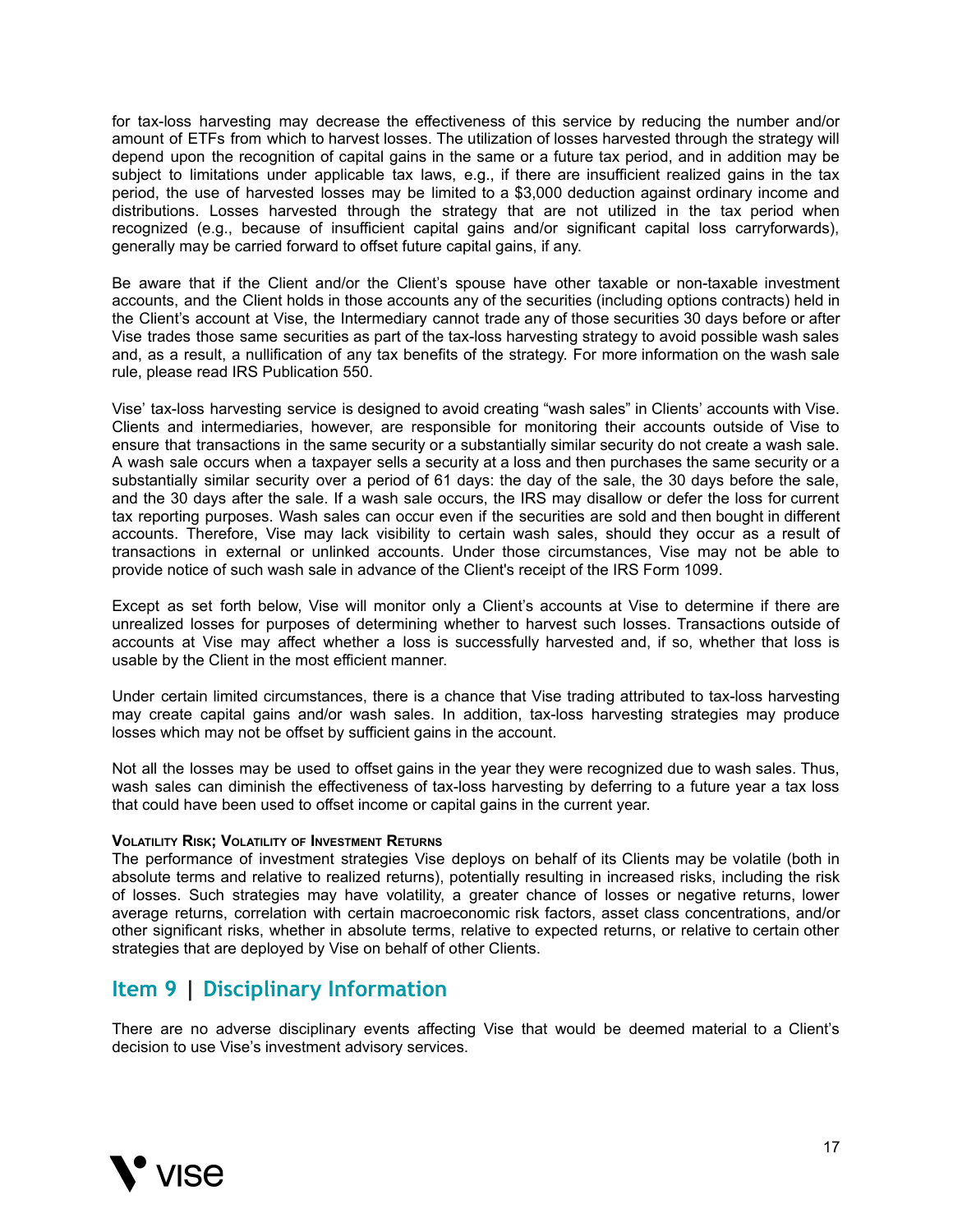for tax-loss harvesting may decrease the effectiveness of this service by reducing the number and/or amount of ETFs from which to harvest losses. The utilization of losses harvested through the strategy will depend upon the recognition of capital gains in the same or a future tax period, and in addition may be subject to limitations under applicable tax laws, e.g., if there are insufficient realized gains in the tax period, the use of harvested losses may be limited to a \$3,000 deduction against ordinary income and distributions. Losses harvested through the strategy that are not utilized in the tax period when recognized (e.g., because of insufficient capital gains and/or significant capital loss carryforwards), generally may be carried forward to offset future capital gains, if any.

Be aware that if the Client and/or the Client's spouse have other taxable or non-taxable investment accounts, and the Client holds in those accounts any of the securities (including options contracts) held in the Client's account at Vise, the Intermediary cannot trade any of those securities 30 days before or after Vise trades those same securities as part of the tax-loss harvesting strategy to avoid possible wash sales and, as a result, a nullification of any tax benefits of the strategy. For more information on the wash sale rule, please read IRS Publication 550.

Vise' tax-loss harvesting service is designed to avoid creating "wash sales" in Clients' accounts with Vise. Clients and intermediaries, however, are responsible for monitoring their accounts outside of Vise to ensure that transactions in the same security or a substantially similar security do not create a wash sale. A wash sale occurs when a taxpayer sells a security at a loss and then purchases the same security or a substantially similar security over a period of 61 days: the day of the sale, the 30 days before the sale, and the 30 days after the sale. If a wash sale occurs, the IRS may disallow or defer the loss for current tax reporting purposes. Wash sales can occur even if the securities are sold and then bought in different accounts. Therefore, Vise may lack visibility to certain wash sales, should they occur as a result of transactions in external or unlinked accounts. Under those circumstances, Vise may not be able to provide notice of such wash sale in advance of the Client's receipt of the IRS Form 1099.

Except as set forth below, Vise will monitor only a Client's accounts at Vise to determine if there are unrealized losses for purposes of determining whether to harvest such losses. Transactions outside of accounts at Vise may affect whether a loss is successfully harvested and, if so, whether that loss is usable by the Client in the most efficient manner.

Under certain limited circumstances, there is a chance that Vise trading attributed to tax-loss harvesting may create capital gains and/or wash sales. In addition, tax-loss harvesting strategies may produce losses which may not be offset by sufficient gains in the account.

Not all the losses may be used to offset gains in the year they were recognized due to wash sales. Thus, wash sales can diminish the effectiveness of tax-loss harvesting by deferring to a future year a tax loss that could have been used to offset income or capital gains in the current year.

#### **VOLATILITY RISK; VOLATILITY OF INVESTMENT RETURNS**

The performance of investment strategies Vise deploys on behalf of its Clients may be volatile (both in absolute terms and relative to realized returns), potentially resulting in increased risks, including the risk of losses. Such strategies may have volatility, a greater chance of losses or negative returns, lower average returns, correlation with certain macroeconomic risk factors, asset class concentrations, and/or other significant risks, whether in absolute terms, relative to expected returns, or relative to certain other strategies that are deployed by Vise on behalf of other Clients.

### <span id="page-16-0"></span>**Item 9 | Disciplinary Information**

There are no adverse disciplinary events affecting Vise that would be deemed material to a Client's decision to use Vise's investment advisory services.

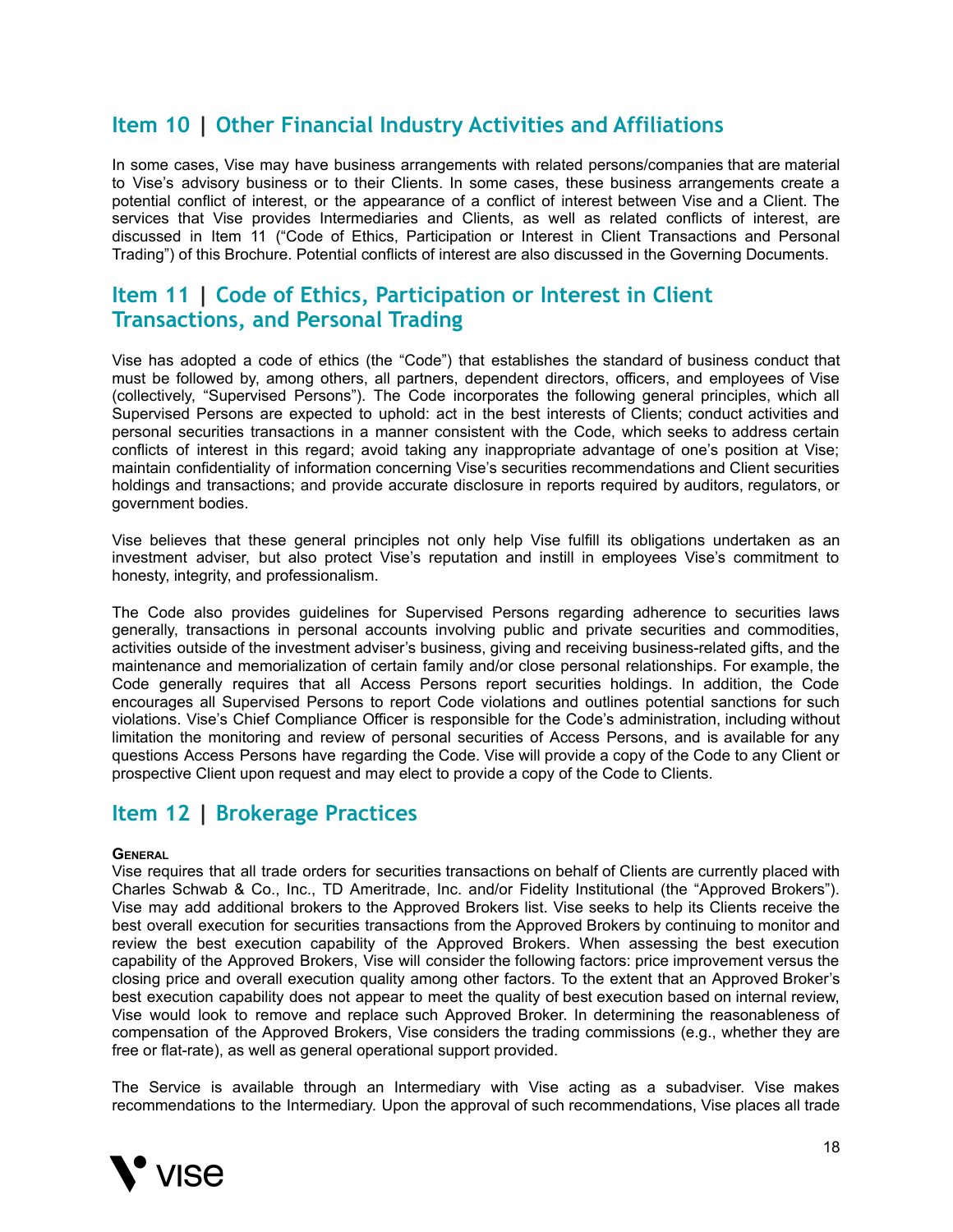## <span id="page-17-0"></span>**Item 10 | Other Financial Industry Activities and Affiliations**

In some cases, Vise may have business arrangements with related persons/companies that are material to Vise's advisory business or to their Clients. In some cases, these business arrangements create a potential conflict of interest, or the appearance of a conflict of interest between Vise and a Client. The services that Vise provides Intermediaries and Clients, as well as related conflicts of interest, are discussed in Item 11 ("Code of Ethics, Participation or Interest in Client Transactions and Personal Trading") of this Brochure. Potential conflicts of interest are also discussed in the Governing Documents.

## <span id="page-17-1"></span>**Item 11 | Code of Ethics, Participation or Interest in Client Transactions, and Personal Trading**

Vise has adopted a code of ethics (the "Code") that establishes the standard of business conduct that must be followed by, among others, all partners, dependent directors, officers, and employees of Vise (collectively, "Supervised Persons"). The Code incorporates the following general principles, which all Supervised Persons are expected to uphold: act in the best interests of Clients; conduct activities and personal securities transactions in a manner consistent with the Code, which seeks to address certain conflicts of interest in this regard; avoid taking any inappropriate advantage of one's position at Vise; maintain confidentiality of information concerning Vise's securities recommendations and Client securities holdings and transactions; and provide accurate disclosure in reports required by auditors, regulators, or government bodies.

Vise believes that these general principles not only help Vise fulfill its obligations undertaken as an investment adviser, but also protect Vise's reputation and instill in employees Vise's commitment to honesty, integrity, and professionalism.

The Code also provides guidelines for Supervised Persons regarding adherence to securities laws generally, transactions in personal accounts involving public and private securities and commodities, activities outside of the investment adviser's business, giving and receiving business-related gifts, and the maintenance and memorialization of certain family and/or close personal relationships. For example, the Code generally requires that all Access Persons report securities holdings. In addition, the Code encourages all Supervised Persons to report Code violations and outlines potential sanctions for such violations. Vise's Chief Compliance Officer is responsible for the Code's administration, including without limitation the monitoring and review of personal securities of Access Persons, and is available for any questions Access Persons have regarding the Code. Vise will provide a copy of the Code to any Client or prospective Client upon request and may elect to provide a copy of the Code to Clients.

## <span id="page-17-2"></span>**Item 12 | Brokerage Practices**

#### **GENERAL**

Vise requires that all trade orders for securities transactions on behalf of Clients are currently placed with Charles Schwab & Co., Inc., TD Ameritrade, Inc. and/or Fidelity Institutional (the "Approved Brokers"). Vise may add additional brokers to the Approved Brokers list. Vise seeks to help its Clients receive the best overall execution for securities transactions from the Approved Brokers by continuing to monitor and review the best execution capability of the Approved Brokers. When assessing the best execution capability of the Approved Brokers, Vise will consider the following factors: price improvement versus the closing price and overall execution quality among other factors. To the extent that an Approved Broker's best execution capability does not appear to meet the quality of best execution based on internal review, Vise would look to remove and replace such Approved Broker. In determining the reasonableness of compensation of the Approved Brokers, Vise considers the trading commissions (e.g., whether they are free or flat-rate), as well as general operational support provided.

The Service is available through an Intermediary with Vise acting as a subadviser. Vise makes recommendations to the Intermediary. Upon the approval of such recommendations, Vise places all trade

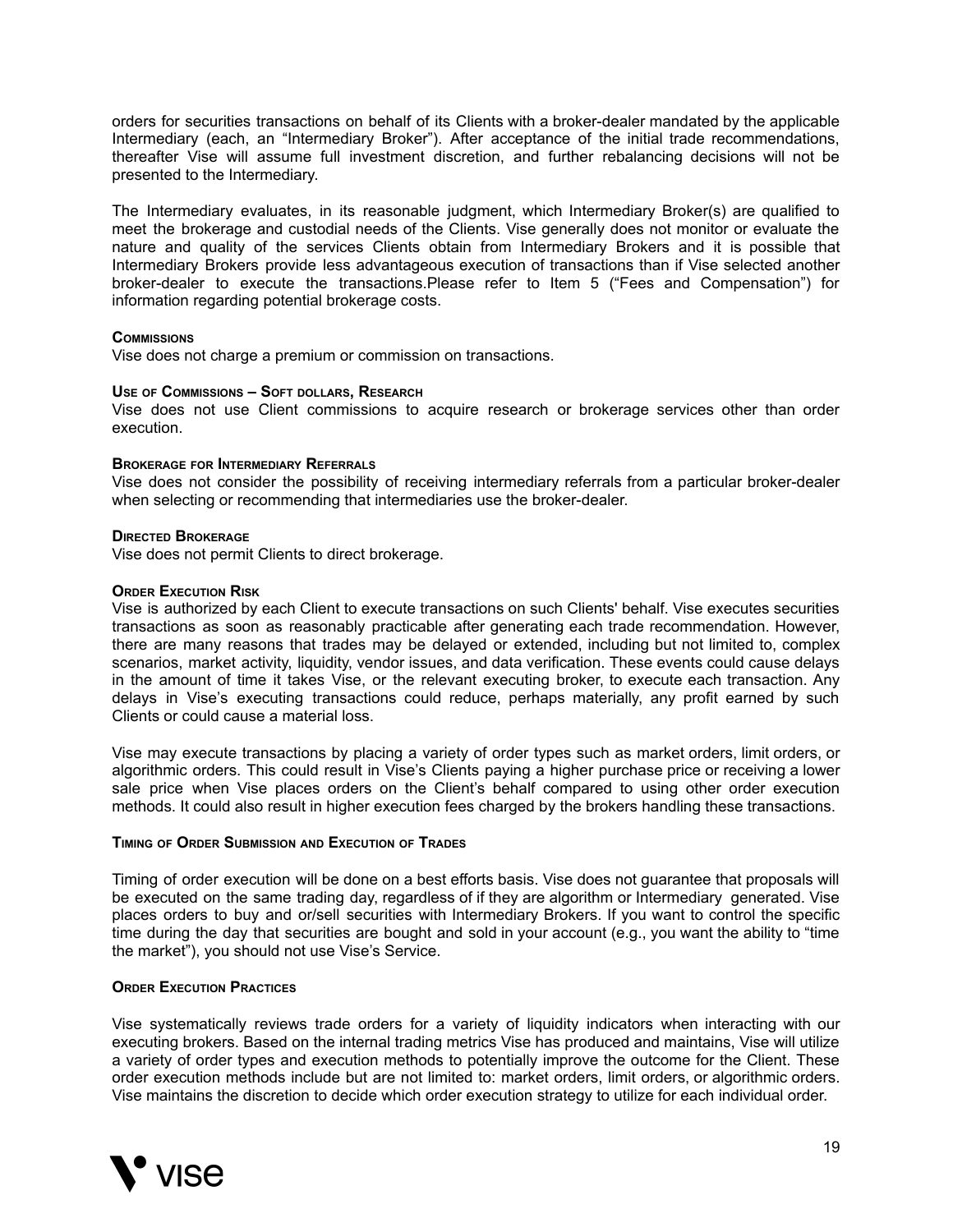orders for securities transactions on behalf of its Clients with a broker-dealer mandated by the applicable Intermediary (each, an "Intermediary Broker"). After acceptance of the initial trade recommendations, thereafter Vise will assume full investment discretion, and further rebalancing decisions will not be presented to the Intermediary.

The Intermediary evaluates, in its reasonable judgment, which Intermediary Broker(s) are qualified to meet the brokerage and custodial needs of the Clients. Vise generally does not monitor or evaluate the nature and quality of the services Clients obtain from Intermediary Brokers and it is possible that Intermediary Brokers provide less advantageous execution of transactions than if Vise selected another broker-dealer to execute the transactions.Please refer to Item 5 ("Fees and Compensation") for information regarding potential brokerage costs.

#### **COMMISSIONS**

Vise does not charge a premium or commission on transactions.

#### **USE OF COMMISSIONS – SOFT DOLLARS, RESEARCH**

Vise does not use Client commissions to acquire research or brokerage services other than order execution.

#### **BROKERAGE FOR INTERMEDIARY REFERRALS**

Vise does not consider the possibility of receiving intermediary referrals from a particular broker-dealer when selecting or recommending that intermediaries use the broker-dealer.

#### **DIRECTED BROKERAGE**

Vise does not permit Clients to direct brokerage.

#### **ORDER EXECUTION RISK**

Vise is authorized by each Client to execute transactions on such Clients' behalf. Vise executes securities transactions as soon as reasonably practicable after generating each trade recommendation. However, there are many reasons that trades may be delayed or extended, including but not limited to, complex scenarios, market activity, liquidity, vendor issues, and data verification. These events could cause delays in the amount of time it takes Vise, or the relevant executing broker, to execute each transaction. Any delays in Vise's executing transactions could reduce, perhaps materially, any profit earned by such Clients or could cause a material loss.

Vise may execute transactions by placing a variety of order types such as market orders, limit orders, or algorithmic orders. This could result in Vise's Clients paying a higher purchase price or receiving a lower sale price when Vise places orders on the Client's behalf compared to using other order execution methods. It could also result in higher execution fees charged by the brokers handling these transactions.

#### **TIMING OF ORDER SUBMISSION AND EXECUTION OF TRADES**

Timing of order execution will be done on a best efforts basis. Vise does not guarantee that proposals will be executed on the same trading day, regardless of if they are algorithm or Intermediary generated. Vise places orders to buy and or/sell securities with Intermediary Brokers. If you want to control the specific time during the day that securities are bought and sold in your account (e.g., you want the ability to "time the market"), you should not use Vise's Service.

#### **ORDER EXECUTION PRACTICES**

Vise systematically reviews trade orders for a variety of liquidity indicators when interacting with our executing brokers. Based on the internal trading metrics Vise has produced and maintains, Vise will utilize a variety of order types and execution methods to potentially improve the outcome for the Client. These order execution methods include but are not limited to: market orders, limit orders, or algorithmic orders. Vise maintains the discretion to decide which order execution strategy to utilize for each individual order.

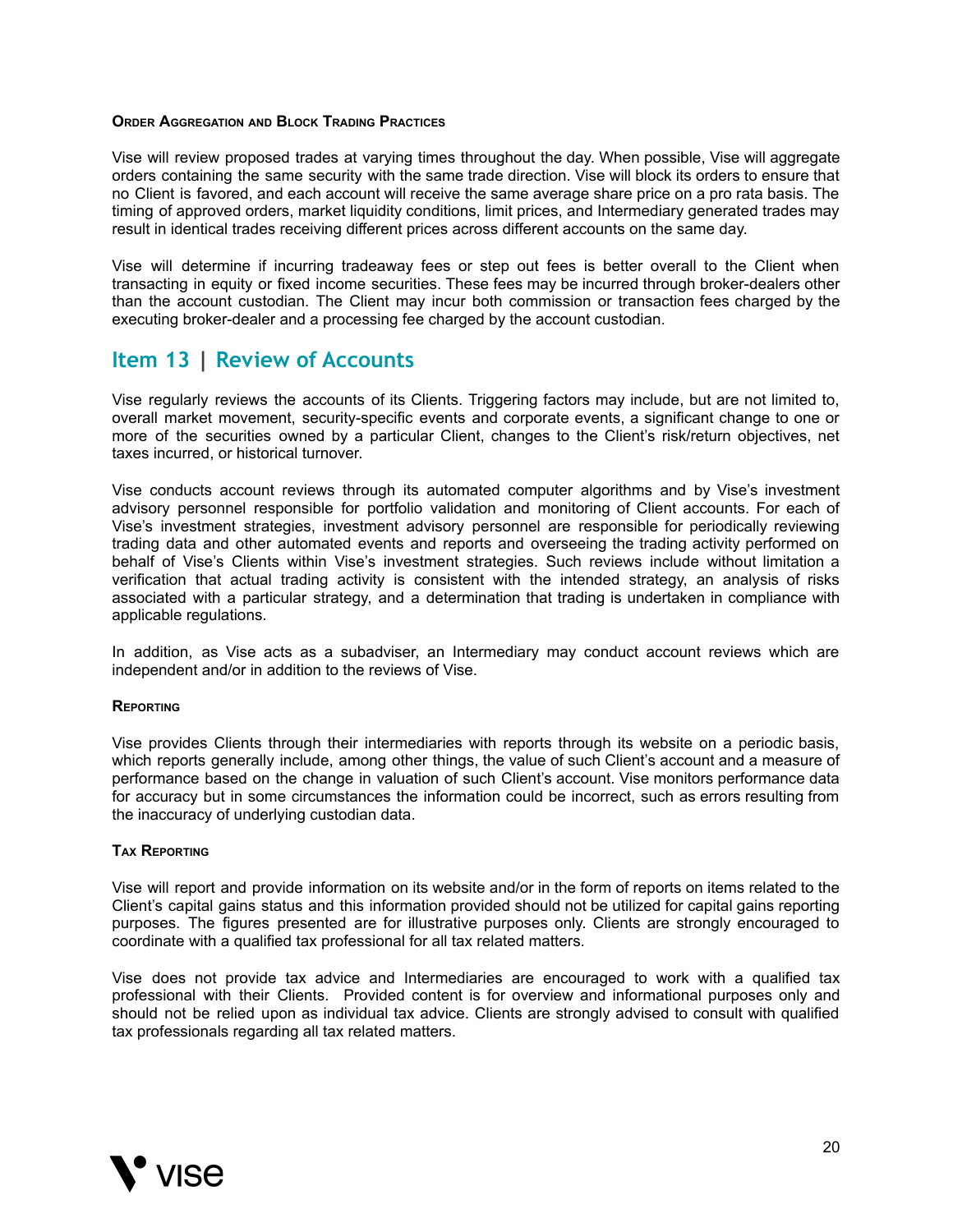#### **ORDER AGGREGATION AND BLOCK TRADING PRACTICES**

Vise will review proposed trades at varying times throughout the day. When possible, Vise will aggregate orders containing the same security with the same trade direction. Vise will block its orders to ensure that no Client is favored, and each account will receive the same average share price on a pro rata basis. The timing of approved orders, market liquidity conditions, limit prices, and Intermediary generated trades may result in identical trades receiving different prices across different accounts on the same day.

Vise will determine if incurring tradeaway fees or step out fees is better overall to the Client when transacting in equity or fixed income securities. These fees may be incurred through broker-dealers other than the account custodian. The Client may incur both commission or transaction fees charged by the executing broker-dealer and a processing fee charged by the account custodian.

### <span id="page-19-0"></span>**Item 13 | Review of Accounts**

Vise regularly reviews the accounts of its Clients. Triggering factors may include, but are not limited to, overall market movement, security-specific events and corporate events, a significant change to one or more of the securities owned by a particular Client, changes to the Client's risk/return objectives, net taxes incurred, or historical turnover.

Vise conducts account reviews through its automated computer algorithms and by Vise's investment advisory personnel responsible for portfolio validation and monitoring of Client accounts. For each of Vise's investment strategies, investment advisory personnel are responsible for periodically reviewing trading data and other automated events and reports and overseeing the trading activity performed on behalf of Vise's Clients within Vise's investment strategies. Such reviews include without limitation a verification that actual trading activity is consistent with the intended strategy, an analysis of risks associated with a particular strategy, and a determination that trading is undertaken in compliance with applicable regulations.

In addition, as Vise acts as a subadviser, an Intermediary may conduct account reviews which are independent and/or in addition to the reviews of Vise.

#### **REPORTING**

Vise provides Clients through their intermediaries with reports through its website on a periodic basis, which reports generally include, among other things, the value of such Client's account and a measure of performance based on the change in valuation of such Client's account. Vise monitors performance data for accuracy but in some circumstances the information could be incorrect, such as errors resulting from the inaccuracy of underlying custodian data.

#### **TAX REPORTING**

Vise will report and provide information on its website and/or in the form of reports on items related to the Client's capital gains status and this information provided should not be utilized for capital gains reporting purposes. The figures presented are for illustrative purposes only. Clients are strongly encouraged to coordinate with a qualified tax professional for all tax related matters.

Vise does not provide tax advice and Intermediaries are encouraged to work with a qualified tax professional with their Clients. Provided content is for overview and informational purposes only and should not be relied upon as individual tax advice. Clients are strongly advised to consult with qualified tax professionals regarding all tax related matters.

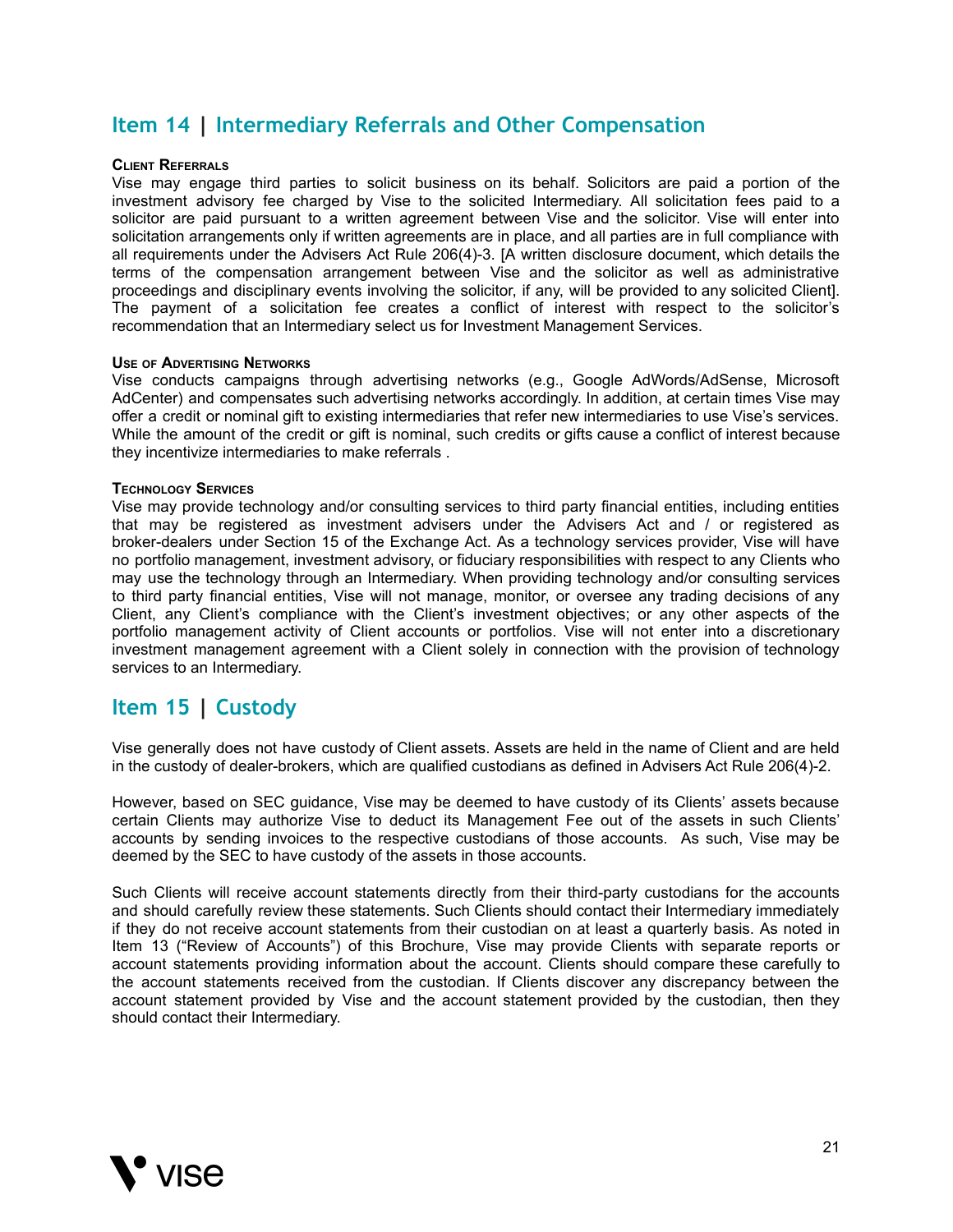## <span id="page-20-0"></span>**Item 14 | Intermediary Referrals and Other Compensation**

#### **CLIENT REFERRALS**

Vise may engage third parties to solicit business on its behalf. Solicitors are paid a portion of the investment advisory fee charged by Vise to the solicited Intermediary. All solicitation fees paid to a solicitor are paid pursuant to a written agreement between Vise and the solicitor. Vise will enter into solicitation arrangements only if written agreements are in place, and all parties are in full compliance with all requirements under the Advisers Act Rule 206(4)-3. [A written disclosure document, which details the terms of the compensation arrangement between Vise and the solicitor as well as administrative proceedings and disciplinary events involving the solicitor, if any, will be provided to any solicited Client]. The payment of a solicitation fee creates a conflict of interest with respect to the solicitor's recommendation that an Intermediary select us for Investment Management Services.

#### **USE OF ADVERTISING NETWORKS**

Vise conducts campaigns through advertising networks (e.g., Google AdWords/AdSense, Microsoft AdCenter) and compensates such advertising networks accordingly. In addition, at certain times Vise may offer a credit or nominal gift to existing intermediaries that refer new intermediaries to use Vise's services. While the amount of the credit or gift is nominal, such credits or gifts cause a conflict of interest because they incentivize intermediaries to make referrals .

#### **TECHNOLOGY SERVICES**

Vise may provide technology and/or consulting services to third party financial entities, including entities that may be registered as investment advisers under the Advisers Act and / or registered as broker-dealers under Section 15 of the Exchange Act. As a technology services provider, Vise will have no portfolio management, investment advisory, or fiduciary responsibilities with respect to any Clients who may use the technology through an Intermediary. When providing technology and/or consulting services to third party financial entities, Vise will not manage, monitor, or oversee any trading decisions of any Client, any Client's compliance with the Client's investment objectives; or any other aspects of the portfolio management activity of Client accounts or portfolios. Vise will not enter into a discretionary investment management agreement with a Client solely in connection with the provision of technology services to an Intermediary.

## <span id="page-20-1"></span>**Item 15 | Custody**

Vise generally does not have custody of Client assets. Assets are held in the name of Client and are held in the custody of dealer-brokers, which are qualified custodians as defined in Advisers Act Rule 206(4)-2.

However, based on SEC guidance, Vise may be deemed to have custody of its Clients' assets because certain Clients may authorize Vise to deduct its Management Fee out of the assets in such Clients' accounts by sending invoices to the respective custodians of those accounts. As such, Vise may be deemed by the SEC to have custody of the assets in those accounts.

Such Clients will receive account statements directly from their third-party custodians for the accounts and should carefully review these statements. Such Clients should contact their Intermediary immediately if they do not receive account statements from their custodian on at least a quarterly basis. As noted in Item 13 ("Review of Accounts") of this Brochure, Vise may provide Clients with separate reports or account statements providing information about the account. Clients should compare these carefully to the account statements received from the custodian. If Clients discover any discrepancy between the account statement provided by Vise and the account statement provided by the custodian, then they should contact their Intermediary.

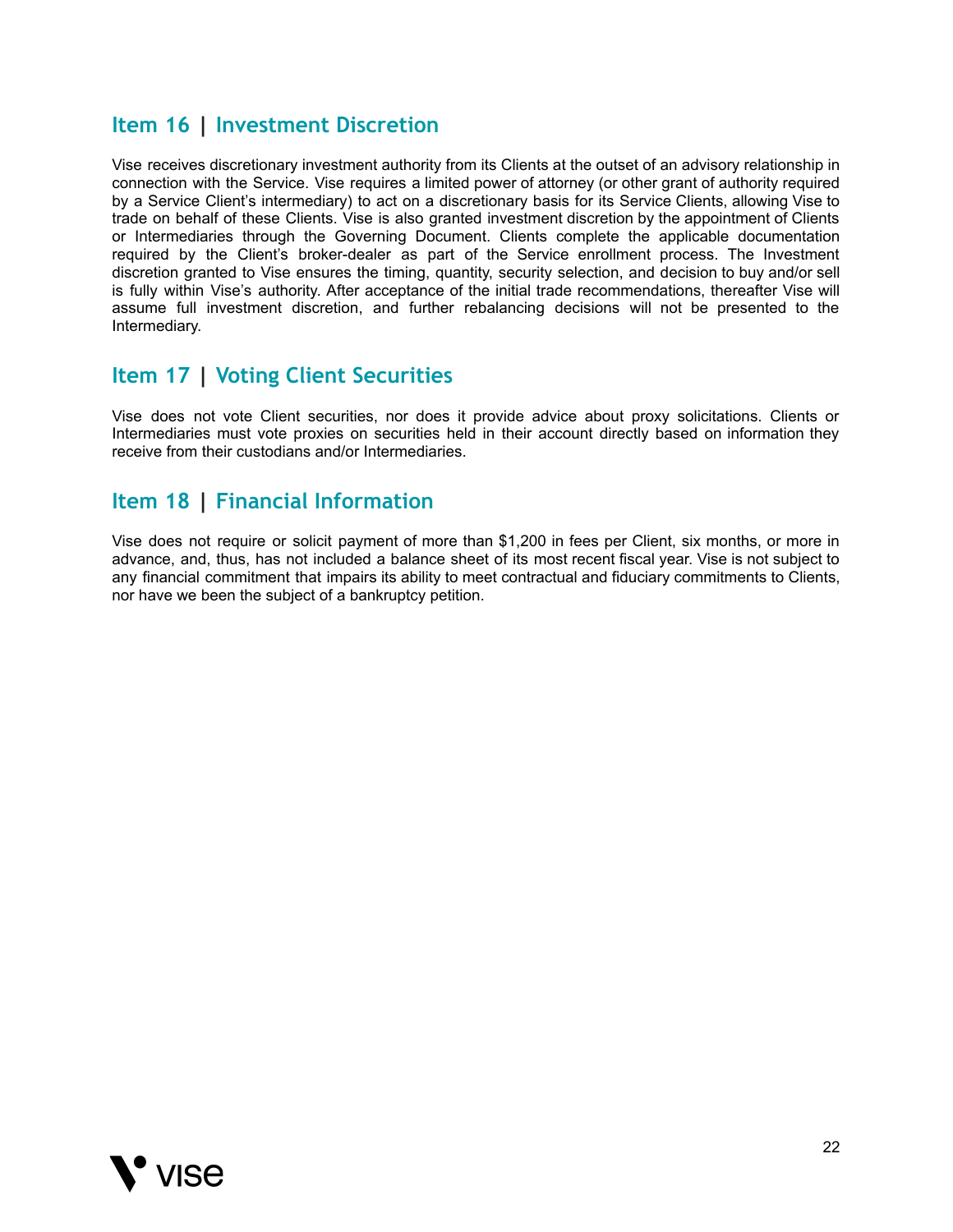## <span id="page-21-0"></span>**Item 16 | Investment Discretion**

Vise receives discretionary investment authority from its Clients at the outset of an advisory relationship in connection with the Service. Vise requires a limited power of attorney (or other grant of authority required by a Service Client's intermediary) to act on a discretionary basis for its Service Clients, allowing Vise to trade on behalf of these Clients. Vise is also granted investment discretion by the appointment of Clients or Intermediaries through the Governing Document. Clients complete the applicable documentation required by the Client's broker-dealer as part of the Service enrollment process. The Investment discretion granted to Vise ensures the timing, quantity, security selection, and decision to buy and/or sell is fully within Vise's authority. After acceptance of the initial trade recommendations, thereafter Vise will assume full investment discretion, and further rebalancing decisions will not be presented to the Intermediary.

## <span id="page-21-1"></span>**Item 17 | Voting Client Securities**

Vise does not vote Client securities, nor does it provide advice about proxy solicitations. Clients or Intermediaries must vote proxies on securities held in their account directly based on information they receive from their custodians and/or Intermediaries.

## <span id="page-21-2"></span>**Item 18 | Financial Information**

Vise does not require or solicit payment of more than \$1,200 in fees per Client, six months, or more in advance, and, thus, has not included a balance sheet of its most recent fiscal year. Vise is not subject to any financial commitment that impairs its ability to meet contractual and fiduciary commitments to Clients, nor have we been the subject of a bankruptcy petition.

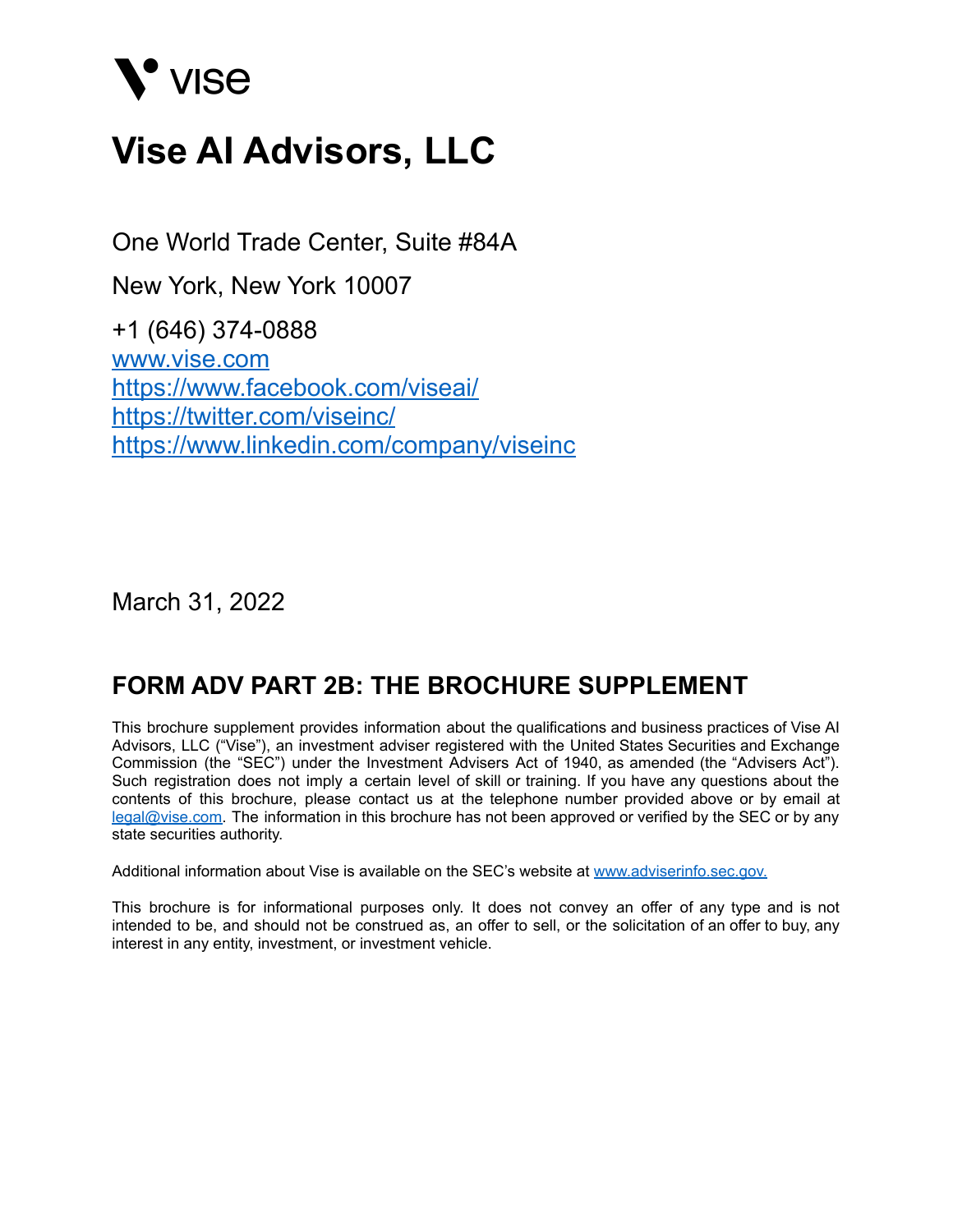# V' VISE

# **Vise AI Advisors, LLC**

One World Trade Center, Suite #84A

New York, New York 10007

+1 (646) 374-0888 www.vise.com https://www.facebook.com/viseai/ https://twitter.com/viseinc/ https://www.linkedin.com/company/viseinc

March 31, 2022

## **FORM ADV PART 2B: THE BROCHURE SUPPLEMENT**

This brochure supplement provides information about the qualifications and business practices of Vise AI Advisors, LLC ("Vise"), an investment adviser registered with the United States Securities and Exchange Commission (the "SEC") under the Investment Advisers Act of 1940, as amended (the "Advisers Act"). Such registration does not imply a certain level of skill or training. If you have any questions about the contents of this brochure, please contact us at the telephone number provided above or by email at [legal@vise.com.](mailto:legal@vise.com) The information in this brochure has not been approved or verified by the SEC or by any state securities authority.

Additional information about Vise is available on the SEC's website at [www.adviserinfo.sec.gov.](http://www.adviserinfo.sec.gov.)

This brochure is for informational purposes only. It does not convey an offer of any type and is not intended to be, and should not be construed as, an offer to sell, or the solicitation of an offer to buy, any interest in any entity, investment, or investment vehicle.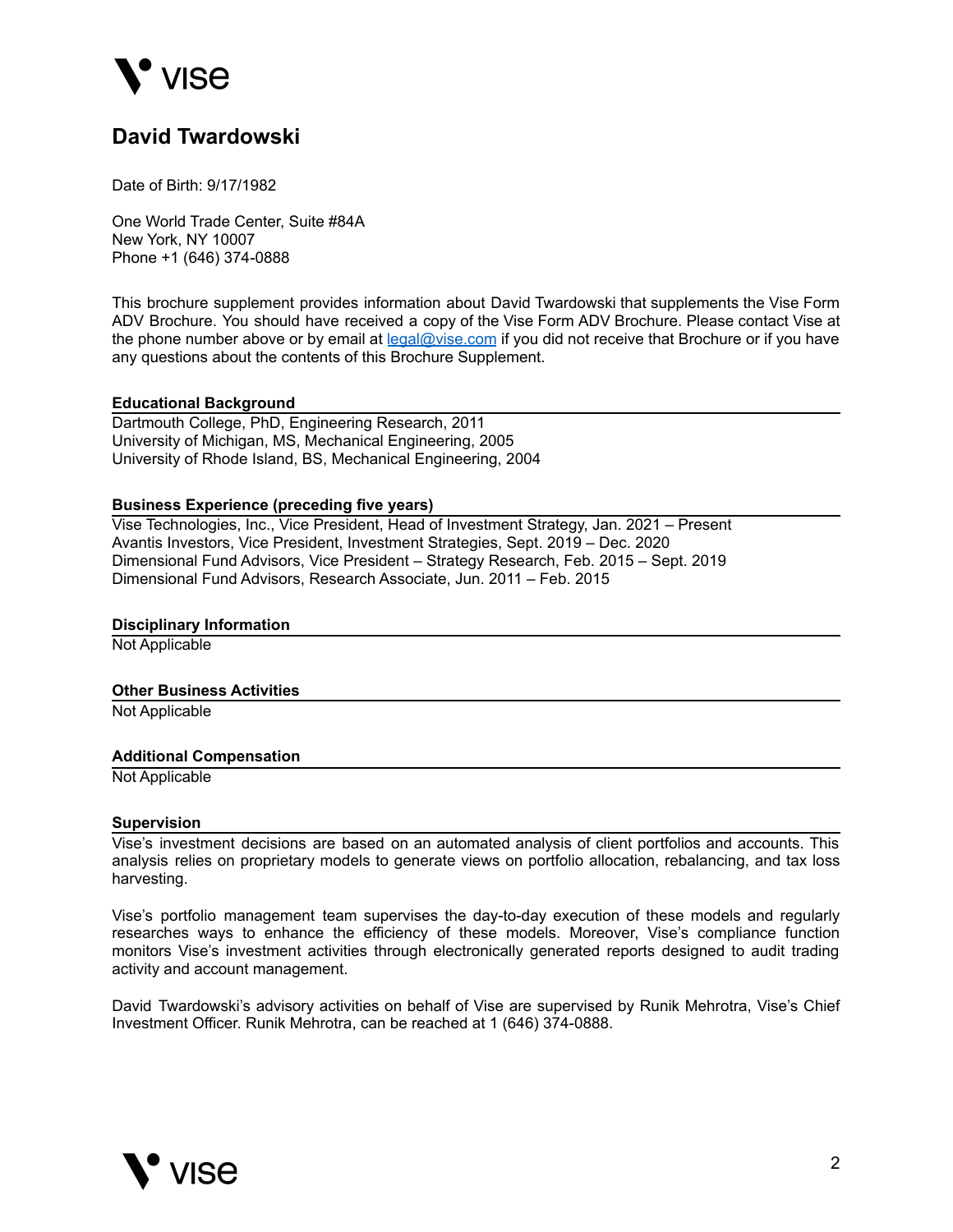

## **David Twardowski**

Date of Birth: 9/17/1982

One World Trade Center, Suite #84A New York, NY 10007 Phone +1 (646) 374-0888

This brochure supplement provides information about David Twardowski that supplements the Vise Form ADV Brochure. You should have received a copy of the Vise Form ADV Brochure. Please contact Vise at the phone number above or by email at [legal@vise.com](mailto:legal@vise.com) if you did not receive that Brochure or if you have any questions about the contents of this Brochure Supplement.

#### **Educational Background**

Dartmouth College, PhD, Engineering Research, 2011 University of Michigan, MS, Mechanical Engineering, 2005 University of Rhode Island, BS, Mechanical Engineering, 2004

#### **Business Experience (preceding five years)**

Vise Technologies, Inc., Vice President, Head of Investment Strategy, Jan. 2021 – Present Avantis Investors, Vice President, Investment Strategies, Sept. 2019 – Dec. 2020 Dimensional Fund Advisors, Vice President – Strategy Research, Feb. 2015 – Sept. 2019 Dimensional Fund Advisors, Research Associate, Jun. 2011 – Feb. 2015

#### **Disciplinary Information**

Not Applicable

#### **Other Business Activities**

Not Applicable

#### **Additional Compensation**

Not Applicable

#### **Supervision**

Vise's investment decisions are based on an automated analysis of client portfolios and accounts. This analysis relies on proprietary models to generate views on portfolio allocation, rebalancing, and tax loss harvesting.

Vise's portfolio management team supervises the day-to-day execution of these models and regularly researches ways to enhance the efficiency of these models. Moreover, Vise's compliance function monitors Vise's investment activities through electronically generated reports designed to audit trading activity and account management.

David Twardowski's advisory activities on behalf of Vise are supervised by Runik Mehrotra, Vise's Chief Investment Officer. Runik Mehrotra, can be reached at 1 (646) 374-0888.

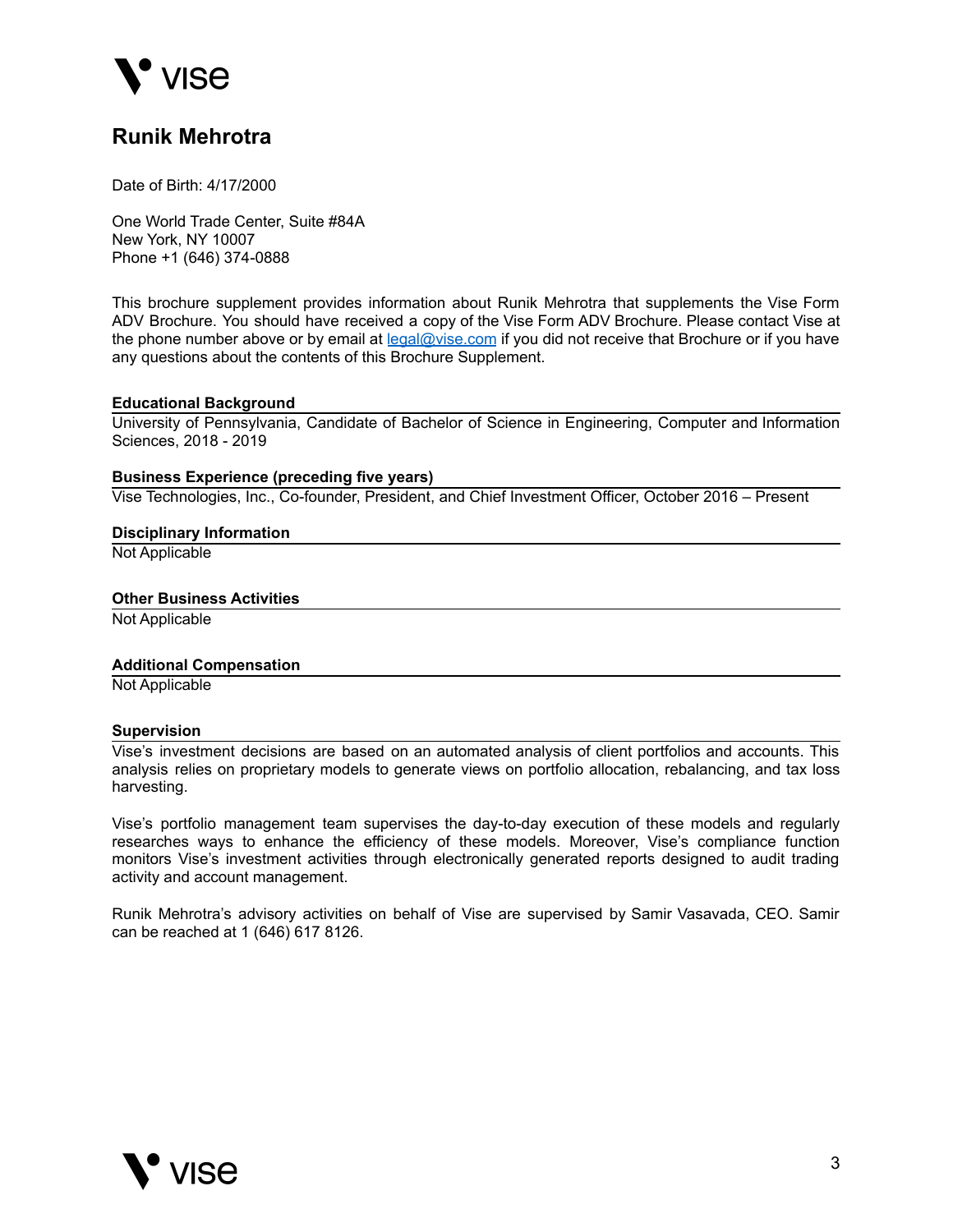

## **Runik Mehrotra**

Date of Birth: 4/17/2000

One World Trade Center, Suite #84A New York, NY 10007 Phone +1 (646) 374-0888

This brochure supplement provides information about Runik Mehrotra that supplements the Vise Form ADV Brochure. You should have received a copy of the Vise Form ADV Brochure. Please contact Vise at the phone number above or by email at [legal@vise.com](mailto:legal@vise.com) if you did not receive that Brochure or if you have any questions about the contents of this Brochure Supplement.

#### **Educational Background**

University of Pennsylvania, Candidate of Bachelor of Science in Engineering, Computer and Information Sciences, 2018 - 2019

#### **Business Experience (preceding five years)**

Vise Technologies, Inc., Co-founder, President, and Chief Investment Officer, October 2016 – Present

#### **Disciplinary Information**

Not Applicable

#### **Other Business Activities**

Not Applicable

#### **Additional Compensation**

Not Applicable

#### **Supervision**

Vise's investment decisions are based on an automated analysis of client portfolios and accounts. This analysis relies on proprietary models to generate views on portfolio allocation, rebalancing, and tax loss harvesting.

Vise's portfolio management team supervises the day-to-day execution of these models and regularly researches ways to enhance the efficiency of these models. Moreover, Vise's compliance function monitors Vise's investment activities through electronically generated reports designed to audit trading activity and account management.

Runik Mehrotra's advisory activities on behalf of Vise are supervised by Samir Vasavada, CEO. Samir can be reached at 1 (646) 617 8126.

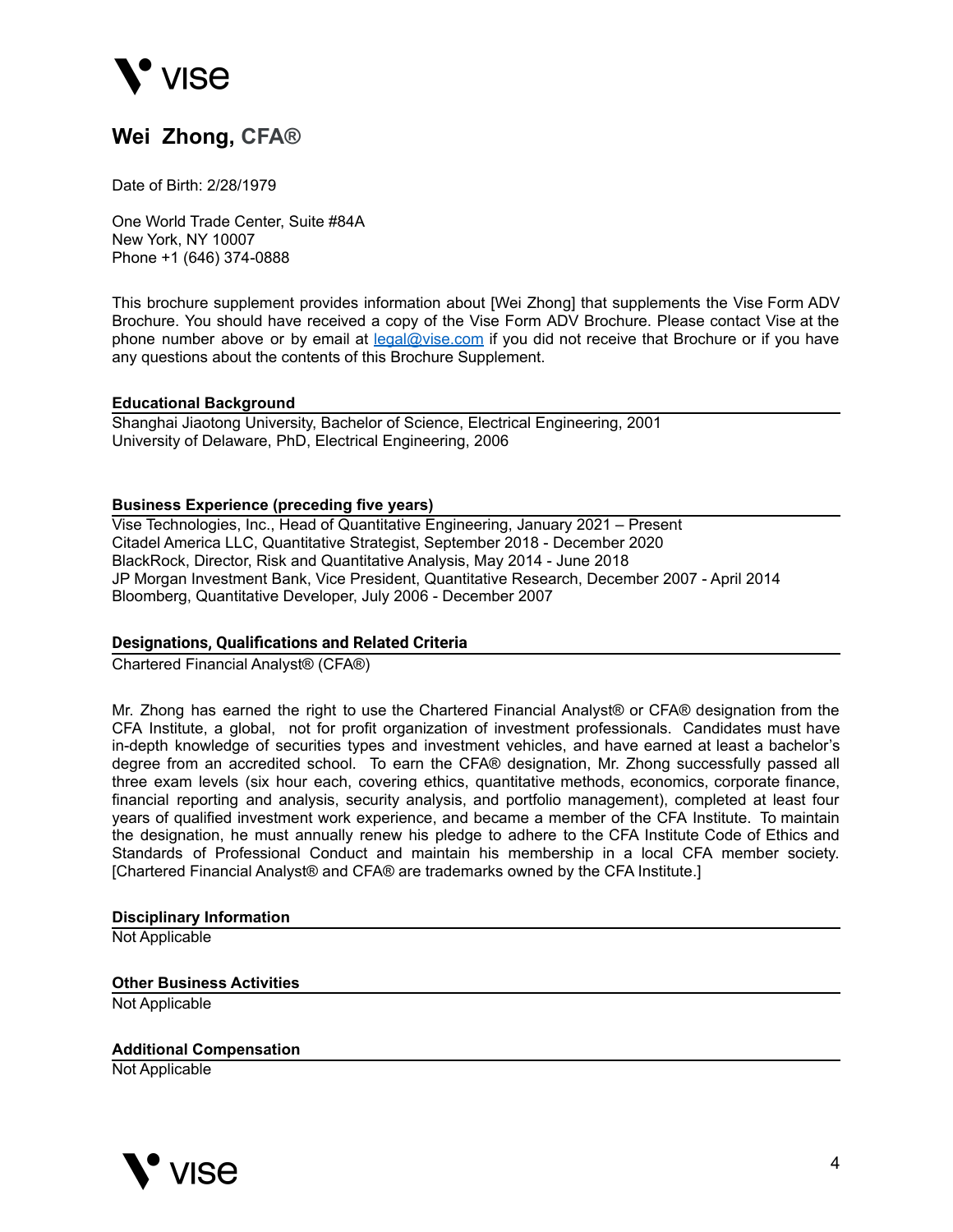

## **Wei Zhong, CFA®**

Date of Birth: 2/28/1979

One World Trade Center, Suite #84A New York, NY 10007 Phone +1 (646) 374-0888

This brochure supplement provides information about [Wei Zhong] that supplements the Vise Form ADV Brochure. You should have received a copy of the Vise Form ADV Brochure. Please contact Vise at the phone number above or by email at [legal@vise.com](mailto:legal@vise.com) if you did not receive that Brochure or if you have any questions about the contents of this Brochure Supplement.

#### **Educational Background**

Shanghai Jiaotong University, Bachelor of Science, Electrical Engineering, 2001 University of Delaware, PhD, Electrical Engineering, 2006

#### **Business Experience (preceding five years)**

Vise Technologies, Inc., Head of Quantitative Engineering, January 2021 – Present Citadel America LLC, Quantitative Strategist, September 2018 - December 2020 BlackRock, Director, Risk and Quantitative Analysis, May 2014 - June 2018 JP Morgan Investment Bank, Vice President, Quantitative Research, December 2007 - April 2014 Bloomberg, Quantitative Developer, July 2006 - December 2007

#### **Designations, Qualifications and Related Criteria**

Chartered Financial Analyst® (CFA®)

Mr. Zhong has earned the right to use the Chartered Financial Analyst® or CFA® designation from the CFA Institute, a global, not for profit organization of investment professionals. Candidates must have in-depth knowledge of securities types and investment vehicles, and have earned at least a bachelor's degree from an accredited school. To earn the CFA® designation, Mr. Zhong successfully passed all three exam levels (six hour each, covering ethics, quantitative methods, economics, corporate finance, financial reporting and analysis, security analysis, and portfolio management), completed at least four years of qualified investment work experience, and became a member of the CFA Institute. To maintain the designation, he must annually renew his pledge to adhere to the CFA Institute Code of Ethics and Standards of Professional Conduct and maintain his membership in a local CFA member society. [Chartered Financial Analyst® and CFA® are trademarks owned by the CFA Institute.]

#### **Disciplinary Information**

Not Applicable

#### **Other Business Activities**

Not Applicable

#### **Additional Compensation**

Not Applicable

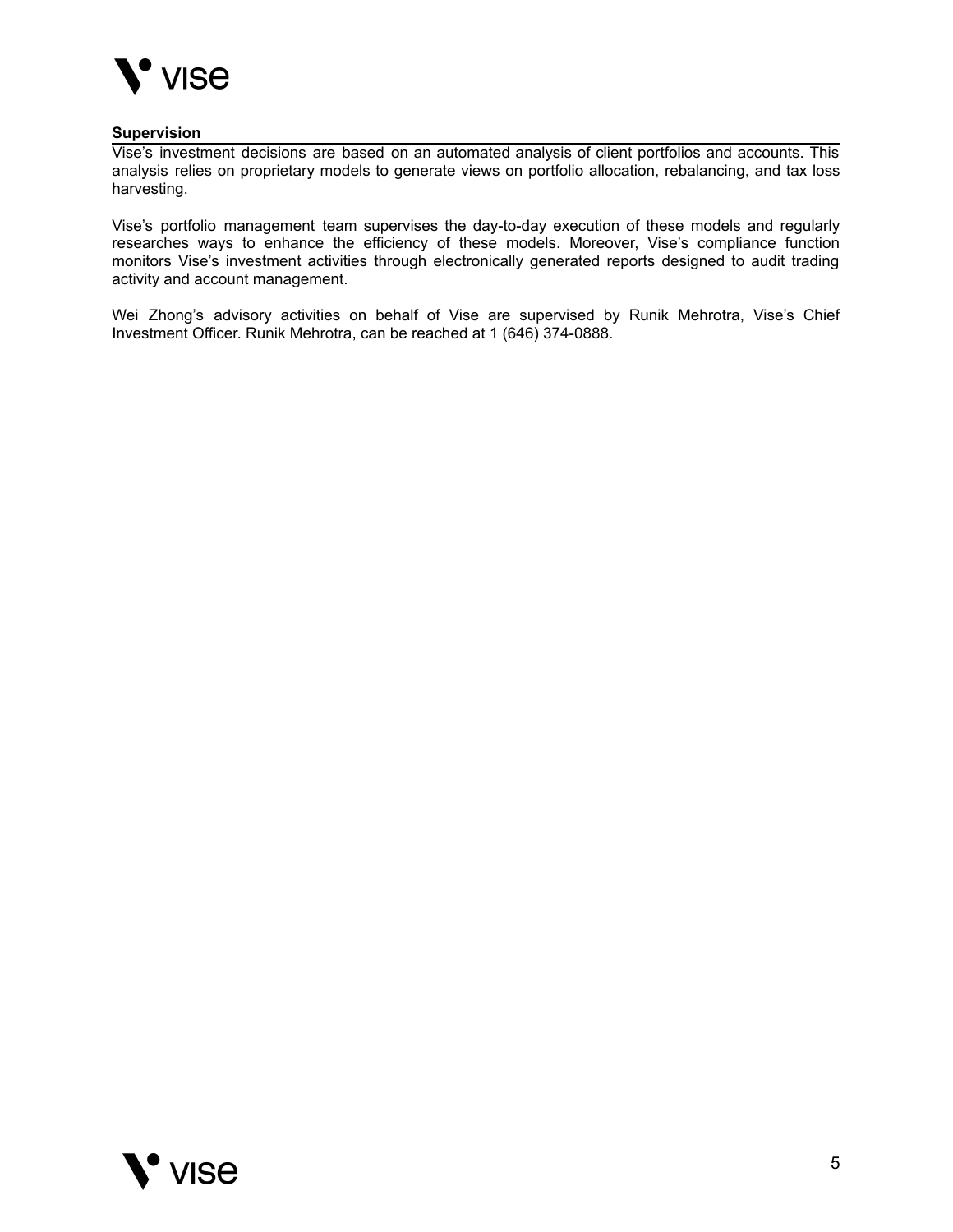

#### **Supervision**

Vise's investment decisions are based on an automated analysis of client portfolios and accounts. This analysis relies on proprietary models to generate views on portfolio allocation, rebalancing, and tax loss harvesting.

Vise's portfolio management team supervises the day-to-day execution of these models and regularly researches ways to enhance the efficiency of these models. Moreover, Vise's compliance function monitors Vise's investment activities through electronically generated reports designed to audit trading activity and account management.

Wei Zhong's advisory activities on behalf of Vise are supervised by Runik Mehrotra, Vise's Chief Investment Officer. Runik Mehrotra, can be reached at 1 (646) 374-0888.

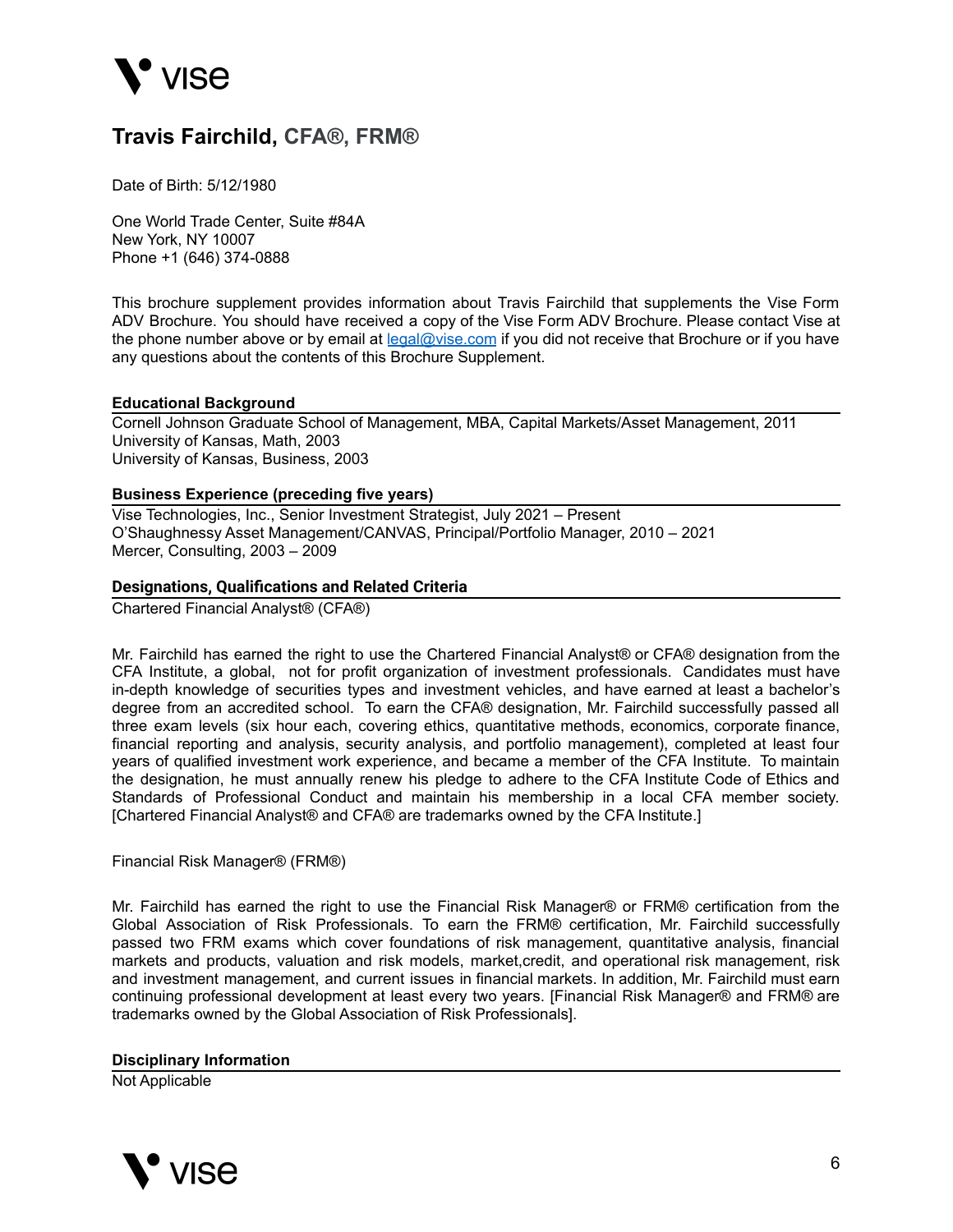

## **Travis Fairchild, CFA®, FRM®**

Date of Birth: 5/12/1980

One World Trade Center, Suite #84A New York, NY 10007 Phone +1 (646) 374-0888

This brochure supplement provides information about Travis Fairchild that supplements the Vise Form ADV Brochure. You should have received a copy of the Vise Form ADV Brochure. Please contact Vise at the phone number above or by email at [legal@vise.com](mailto:legal@vise.com) if you did not receive that Brochure or if you have any questions about the contents of this Brochure Supplement.

#### **Educational Background**

Cornell Johnson Graduate School of Management, MBA, Capital Markets/Asset Management, 2011 University of Kansas, Math, 2003 University of Kansas, Business, 2003

#### **Business Experience (preceding five years)**

Vise Technologies, Inc., Senior Investment Strategist, July 2021 – Present O'Shaughnessy Asset Management/CANVAS, Principal/Portfolio Manager, 2010 – 2021 Mercer, Consulting, 2003 – 2009

#### **Designations, Qualifications and Related Criteria**

Chartered Financial Analyst® (CFA®)

Mr. Fairchild has earned the right to use the Chartered Financial Analyst® or CFA® designation from the CFA Institute, a global, not for profit organization of investment professionals. Candidates must have in-depth knowledge of securities types and investment vehicles, and have earned at least a bachelor's degree from an accredited school. To earn the CFA® designation, Mr. Fairchild successfully passed all three exam levels (six hour each, covering ethics, quantitative methods, economics, corporate finance, financial reporting and analysis, security analysis, and portfolio management), completed at least four years of qualified investment work experience, and became a member of the CFA Institute. To maintain the designation, he must annually renew his pledge to adhere to the CFA Institute Code of Ethics and Standards of Professional Conduct and maintain his membership in a local CFA member society. [Chartered Financial Analyst® and CFA® are trademarks owned by the CFA Institute.]

Financial Risk Manager® (FRM®)

Mr. Fairchild has earned the right to use the Financial Risk Manager® or FRM® certification from the Global Association of Risk Professionals. To earn the FRM® certification, Mr. Fairchild successfully passed two FRM exams which cover foundations of risk management, quantitative analysis, financial markets and products, valuation and risk models, market,credit, and operational risk management, risk and investment management, and current issues in financial markets. In addition, Mr. Fairchild must earn continuing professional development at least every two years. [Financial Risk Manager® and FRM® are trademarks owned by the Global Association of Risk Professionals].

#### **Disciplinary Information**

Not Applicable

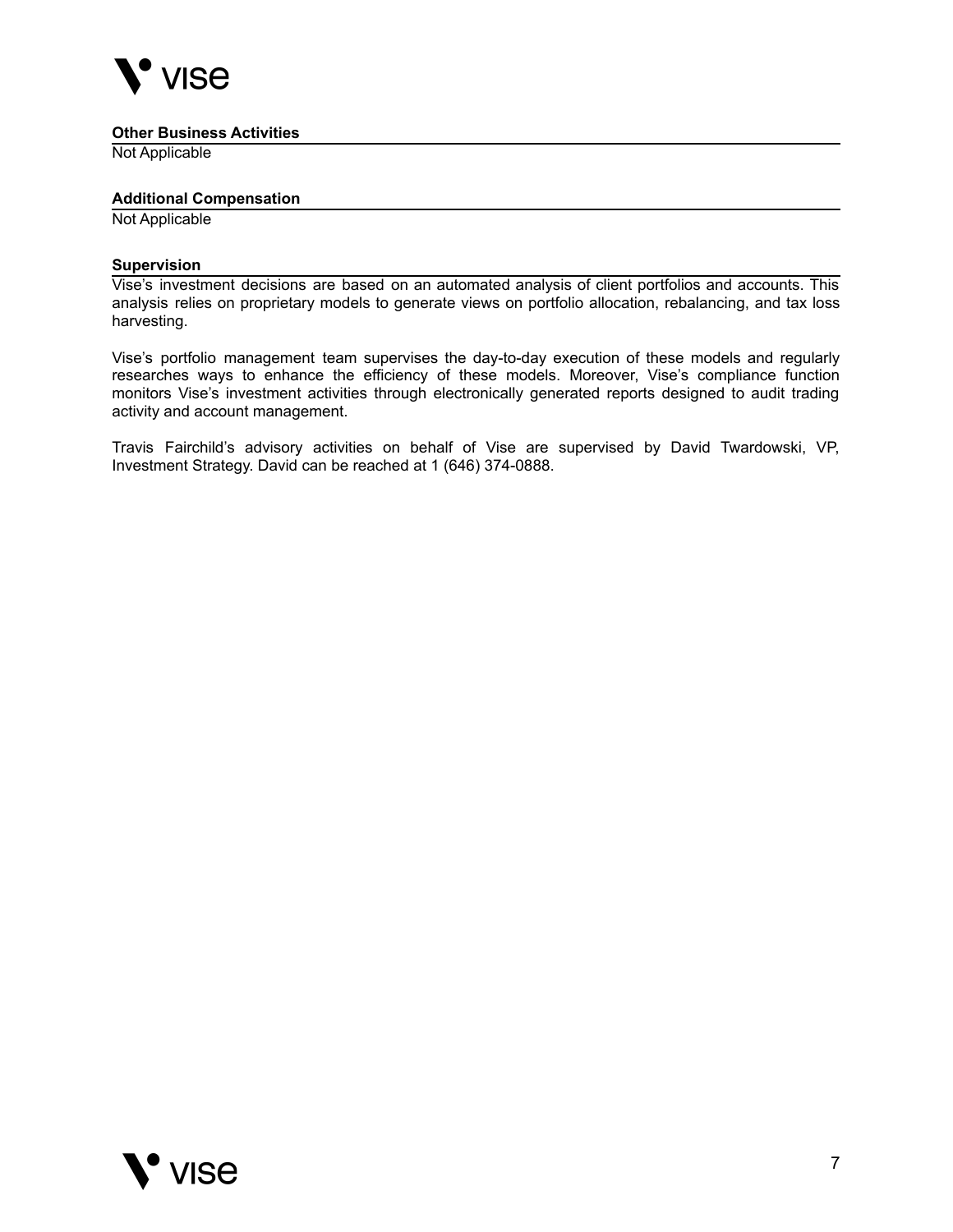

#### **Other Business Activities**

Not Applicable

#### **Additional Compensation**

Not Applicable

#### **Supervision**

Vise's investment decisions are based on an automated analysis of client portfolios and accounts. This analysis relies on proprietary models to generate views on portfolio allocation, rebalancing, and tax loss harvesting.

Vise's portfolio management team supervises the day-to-day execution of these models and regularly researches ways to enhance the efficiency of these models. Moreover, Vise's compliance function monitors Vise's investment activities through electronically generated reports designed to audit trading activity and account management.

Travis Fairchild's advisory activities on behalf of Vise are supervised by David Twardowski, VP, Investment Strategy. David can be reached at 1 (646) 374-0888.